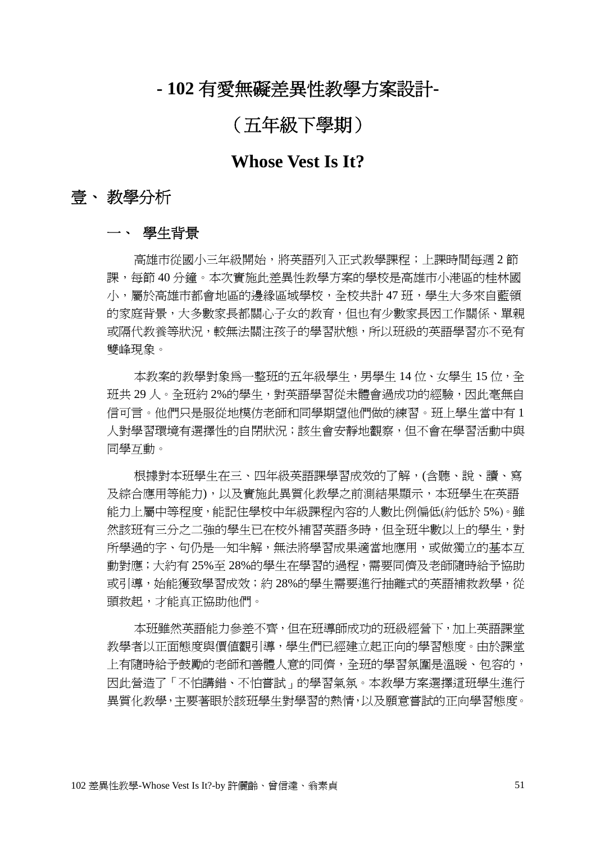## **- 102** 有愛無礙差異性教學方案設計**-**

## (五年級下學期)

### **Whose Vest Is It?**

### 壹、 教學分析

#### 一、 學生背景

高雄市從國小三年級開始,將英語列入正式教學課程;上課時間每週 2 節 課,每節 40 分鐘。本次實施此差異性教學方案的學校是高雄市小港區的桂林國 小,屬於高雄市都會地區的邊緣區域學校,全校共計 47 班, 學生大多來自藍領 的家庭背景,大多數家長都關心子女的教育,但也有少數家長因工作關係、單親 或隔代教養等狀況,較無法關注孩子的學習狀態,所以班級的英語學習亦不免有 雙峰現象。

本教案的教學對象為一整班的五年級學生,男學生14位、女學生15位,全 班共 29 人。全班約 2%的學生,對英語學習從未體會過成功的經驗,因此毫無自 信可言。他們只是服從地模仿老師和同學期望他們做的練習。班上學生當中有 1 人對學習環境有選擇性的自閉狀況;該生會安靜地觀察,但不會在學習活動中與 同學互動。

根據對本班學生在三、四年級英語課學習成效的了解,(含聽、說、讀、寫 及綜合應用等能力),以及實施此異質化教學之前測結果顯示,本班學生在英語 能力上屬中等程度,能記住學校中年級課程內容的人數比例偏低(約低於 5%)。雖 然該班有三分之二強的學生已在校外補習英語多時,但全班半數以上的學生,對 所學過的字、句仍是一知半解,無法將學習成果適當地應用,或做獨立的基本互 動對應;大約有 25%至 28%的學生在學習的過程,需要同儕及老師隨時給予協助 或引導,始能獲致學習成效;約 28%的學生需要進行抽離式的英語補救教學,從 頭救起,才能真正協助他們。

本班雖然英語能力參差不齊,但在班導師成功的班級經營下,加上英語課堂 教學者以正面態度與價值觀引導,學生們已經建立起正向的學習態度。由於課堂 上有隨時給予鼓勵的老師和善體人意的同儕,全班的學習氛圍是溫暖、包容的, 因此營造了「不怕講錯、不怕嘗試」的學習氣氛。本教學方案選擇這班學生進行 異質化教學,主要著眼於該班學生對學習的熱情,以及願意嘗試的正向學習態度。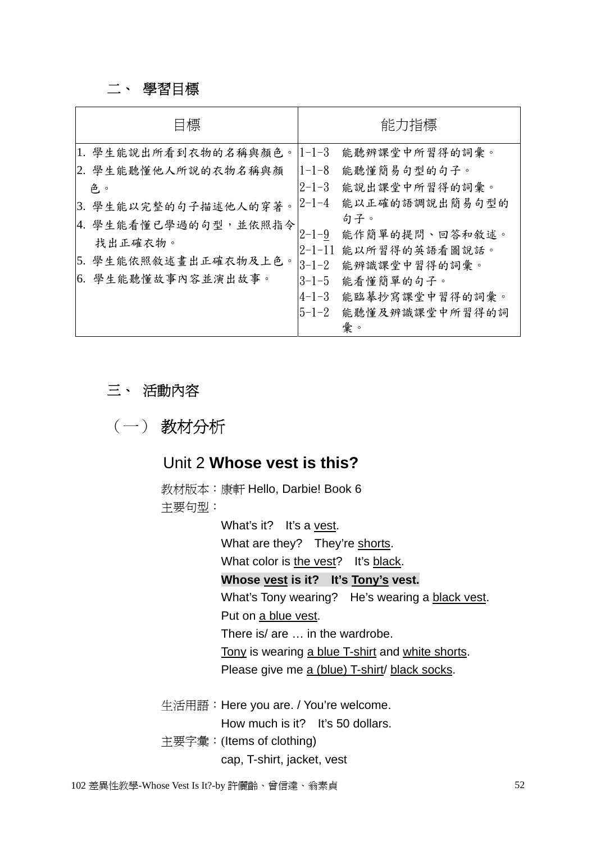#### 二、 學習目標

| 目標                                                    | 能力指標                                                                                                  |
|-------------------------------------------------------|-------------------------------------------------------------------------------------------------------|
| 1. 學生能說出所看到衣物的名稱與顏色。<br> 2. 學生能聽懂他人所說的衣物名稱與顏          | $1 - 1 - 3$<br>能聽辨課堂中所習得的詞彙。<br>$1 - 1 - 8$<br>能聽懂簡易句型的句子。                                            |
| 色。<br> 3. 學生能以完整的句子描述他人的穿著。<br> 4. 學生能看懂已學過的句型,並依照指令  | $2 - 1 - 3$<br>能說出課堂中所習得的詞彙。<br>能以正確的語調說出簡易句型的<br>$2 - 1 - 4$<br>句子。<br>能作簡單的提問、回答和敘述。<br>$2 - 1 - 9$ |
| 找出正確衣物。<br>5. 學生能依照敘述畫出正確衣物及上色。<br>6. 學生能聽懂故事內容並演出故事。 | 2-1-11 能以所習得的英語看圖說話。<br>$3 - 1 - 2$<br>能辨識課堂中習得的詞彙。<br>$3 - 1 - 5$<br>能看懂簡單的句子。                       |
|                                                       | $4 - 1 - 3$<br>能臨摹抄寫課堂中習得的詞彙。<br>$5 - 1 - 2$<br>能聽懂及辨識課堂中所習得的詞<br>彙。                                  |

三、 活動內容

(一) 教材分析

### Unit 2 **Whose vest is this?**

 教材版本:康軒 Hello, Darbie! Book 6 主要句型:

What's it? It's a vest.

What are they? They're shorts.

What color is the vest? It's black.

#### **Whose vest is it? It's Tony's vest.**

What's Tony wearing? He's wearing a black vest.

Put on a blue vest.

There is/ are … in the wardrobe.

Tony is wearing a blue T-shirt and white shorts.

Please give me a (blue) T-shirt/ black socks.

生活用語: Here you are. / You're welcome. How much is it? It's 50 dollars. 主要字彙:(Items of clothing) cap, T-shirt, jacket, vest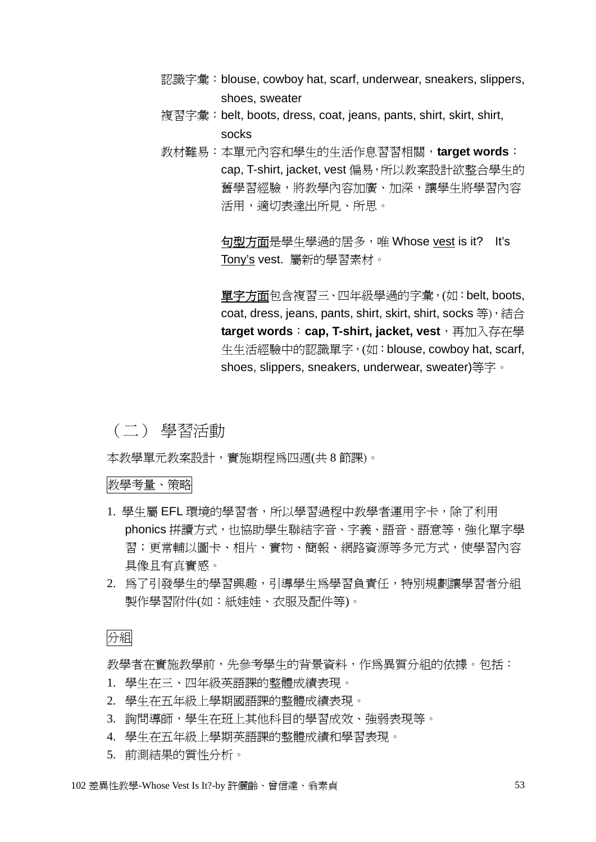- 認識字彙:blouse, cowboy hat, scarf, underwear, sneakers, slippers, shoes, sweater
- 複習字彙:belt, boots, dress, coat, jeans, pants, shirt, skirt, shirt, socks
- 教材難易:本單元內容和學生的生活作息習習相關,**target words**: cap, T-shirt, jacket, vest 偏易,所以教案設計欲整合學生的 舊學習經驗,將教學內容加廣、加深,讓學生將學習內容 活用,適切表達出所見、所思。

 句型方面是學生學過的居多,唯 Whose vest is it? It's Tony's vest. 屬新的學習素材。

 單字方面包含複習三、四年級學過的字彙,(如:belt, boots, coat, dress, jeans, pants, shirt, skirt, shirt, socks 等),結合 **target words**:**cap, T-shirt, jacket, vest**,再加入存在學 生生活經驗中的認識單字,(如:blouse, cowboy hat, scarf, shoes, slippers, sneakers, underwear, sweater)等字。

(二) 學習活動

本教學單元教案設計,實施期程為四週(共 8 節課)。

教學考量、策略

- 1. 學生屬 EFL 環境的學習者, 所以學習過程中教學者運用字卡, 除了利用 phonics 拼讀方式,也協助學生聯結字音、字義、語音、語意等,強化單字學 習;更常輔以圖卡、相片、實物、簡報、網路資源等多元方式,使學習內容 具像且有真實感。
- 2. 為了引發學生的學習興趣,引導學生為學習負責任,特別規劃讓學習者分組 製作學習附件(如:紙娃娃、衣服及配件等)。

分組

教學者在實施教學前,先參考學生的背景資料,作為異質分組的依據。包括:

- 1. 學生在三、四年級英語課的整體成績表現。
- 2. 學生在五年級上學期國語課的整體成績表現。
- 3. 詢問導師,學生在班上其他科目的學習成效、強弱表現等。
- 4. 學生在五年級上學期英語課的整體成績和學習表現。
- 5. 前測結果的質性分析。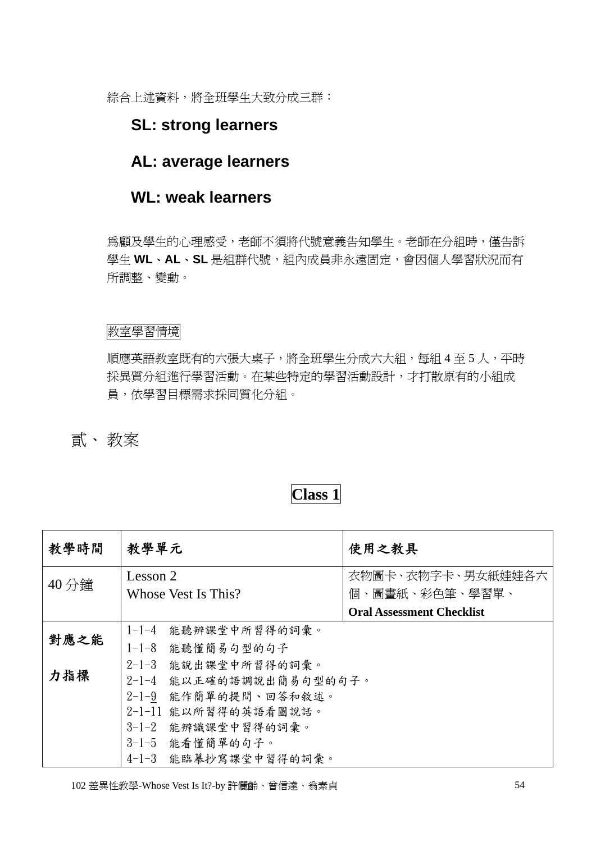綜合上述資料,將全班學生大致分成三群:

#### **SL: strong learners**

### **AL: average learners**

#### **WL: weak learners**

為顧及學生的心理感受,老師不須將代號意義告知學生。老師在分組時,僅告訴 學生 WL、AL、SL 是組群代號,組內成員非永遠固定,會因個人學習狀況而有 所調整、變動。

#### 教室學習情境

順應英語教室既有的六張大桌子,將全班學生分成六大組,每組 4 至 5 人,平時 採異質分組進行學習活動。在某些特定的學習活動設計,才打散原有的小組成 員,依學習目標需求採同質化分組。

貳、 教案

#### 教學時間 教學單元 2000 - 2000 - 2000 - 2000 - 2000 - 2000 - 2000 - 2000 - 2000 - 2000 - 2000 - 2000 - 2000 - 2000 - 20  $40 \frac{\text{A}}{\text{m}}$  Lesson 2 Whose Vest Is This? 衣物圖卡、衣物字卡、男女紙娃娃各六 個、圖畫紙、彩色筆、學習單、 **Oral Assessment Checklist** 對應之能 力指標 1-1-4 能聽辨課堂中所習得的詞彙。 1-1-8 能聽懂簡易句型的句子 2-1-3 能說出課堂中所習得的詞彙。 2-1-4 能以正確的語調說出簡易句型的句子。 2-1-9 能作簡單的提問、回答和敘述。 2-1-11 能以所習得的英語看圖說話。 3-1-2 能辨識課堂中習得的詞彙。 3-1-5 能看懂簡單的句子。 4-1-3 能臨摹抄寫課堂中習得的詞彙。

102 差異性教學-Whose Vest Is It?-by 許儷齡、曾信達、翁素貞 54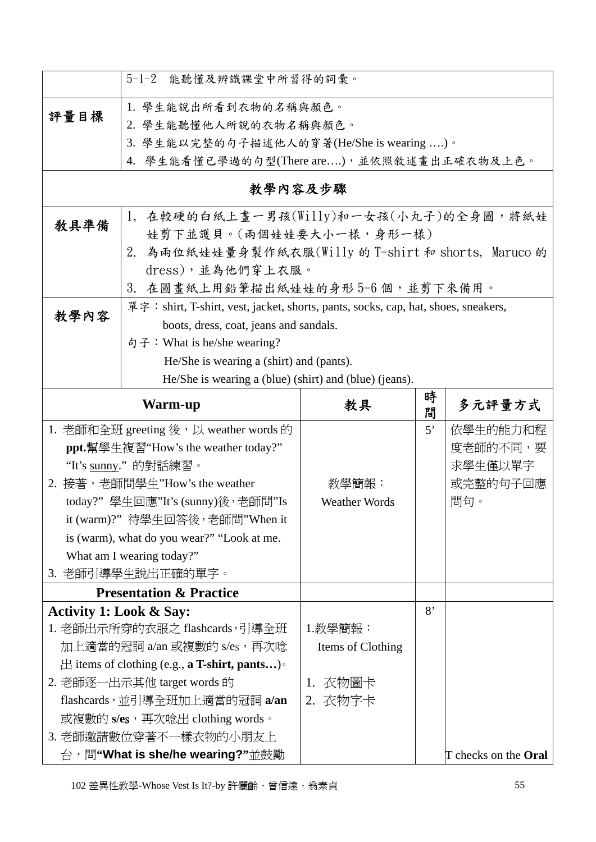|                                                 | $5 - 1 - 2$<br>能聽懂及辨識課堂中所習得的詞彙。                                                   |                      |             |                             |  |  |  |  |
|-------------------------------------------------|-----------------------------------------------------------------------------------|----------------------|-------------|-----------------------------|--|--|--|--|
|                                                 | 1. 學生能說出所看到衣物的名稱與顏色。                                                              |                      |             |                             |  |  |  |  |
| 評量目標                                            | 2. 學生能聽懂他人所說的衣物名稱與顏色。                                                             |                      |             |                             |  |  |  |  |
|                                                 | 3. 學生能以完整的句子描述他人的穿著(He/She is wearing )。                                          |                      |             |                             |  |  |  |  |
|                                                 | 4. 學生能看懂已學過的句型(There are),並依照敘述畫出正確衣物及上色。                                         |                      |             |                             |  |  |  |  |
|                                                 | 教學內容及步驟                                                                           |                      |             |                             |  |  |  |  |
|                                                 | 1, 在較硬的白紙上畫一男孩(Willy)和一女孩(小丸子)的全身圖,將紙娃                                            |                      |             |                             |  |  |  |  |
| 教具準備                                            | 娃剪下並護貝。(兩個娃娃要大小一樣,身形一樣)                                                           |                      |             |                             |  |  |  |  |
|                                                 | 為兩位紙娃娃量身製作紙衣服(Willy 的 T-shirt 和 shorts,Maruco 的<br>2.                             |                      |             |                             |  |  |  |  |
|                                                 | dress),並為他們穿上衣服。                                                                  |                      |             |                             |  |  |  |  |
|                                                 | 3. 在圖畫紙上用鉛筆描出紙娃娃的身形5-6個,並剪下來備用。                                                   |                      |             |                             |  |  |  |  |
|                                                 | 單字:shirt, T-shirt, vest, jacket, shorts, pants, socks, cap, hat, shoes, sneakers, |                      |             |                             |  |  |  |  |
| 教學內容                                            | boots, dress, coat, jeans and sandals.                                            |                      |             |                             |  |  |  |  |
|                                                 | 句子: What is he/she wearing?                                                       |                      |             |                             |  |  |  |  |
|                                                 | He/She is wearing a (shirt) and (pants).                                          |                      |             |                             |  |  |  |  |
|                                                 | He/She is wearing a (blue) (shirt) and (blue) (jeans).                            |                      |             |                             |  |  |  |  |
|                                                 | Warm-up                                                                           | 教具                   | 時<br>間      | 多元評量方式                      |  |  |  |  |
|                                                 | 1. 老師和全班 greeting 後, 以 weather words 的                                            |                      | $5^{\circ}$ | 依學生的能力和程                    |  |  |  |  |
|                                                 | <b>ppt.</b> 幫學生複習"How's the weather today?"                                       |                      |             | 度老師的不同,要                    |  |  |  |  |
|                                                 | "It's <u>sunny</u> ." 的對話練習。                                                      |                      |             | 求學生僅以單字                     |  |  |  |  |
|                                                 | 2. 接著,老師問學生"How's the weather                                                     | 教學簡報:                |             | 或完整的句子回應                    |  |  |  |  |
|                                                 | today?" 學生回應"It's (sunny)後,老師問"Is                                                 | <b>Weather Words</b> |             | 問句。                         |  |  |  |  |
|                                                 | it (warm)?"待學生回答後,老師問"When it                                                     |                      |             |                             |  |  |  |  |
|                                                 | is (warm), what do you wear?" "Look at me.                                        |                      |             |                             |  |  |  |  |
|                                                 | What am I wearing today?"                                                         |                      |             |                             |  |  |  |  |
|                                                 | 3. 老師引導學生說出正確的單字。                                                                 |                      |             |                             |  |  |  |  |
|                                                 | <b>Presentation &amp; Practice</b>                                                |                      |             |                             |  |  |  |  |
| <b>Activity 1: Look &amp; Say:</b>              |                                                                                   |                      | 8'          |                             |  |  |  |  |
|                                                 | 1. 老師出示所穿的衣服之 flashcards,引導全班                                                     | 1.教學簡報:              |             |                             |  |  |  |  |
| 加上適當的冠詞 a/an 或複數的 s/es,再次唸<br>Items of Clothing |                                                                                   |                      |             |                             |  |  |  |  |
|                                                 | $\pm$ items of clothing (e.g., a T-shirt, pants)                                  |                      |             |                             |  |  |  |  |
|                                                 | 2. 老師逐一出示其他 target words 的                                                        | 1. 衣物圖卡              |             |                             |  |  |  |  |
| 2. 衣物字卡<br>flashcards, 並引導全班加上適當的冠詞 a/an        |                                                                                   |                      |             |                             |  |  |  |  |
|                                                 | 或複數的 s/es,再次唸出 clothing words。<br>3. 老師邀請數位穿著不一樣衣物的小朋友上                           |                      |             |                             |  |  |  |  |
|                                                 |                                                                                   |                      |             |                             |  |  |  |  |
|                                                 | 台,問"What is she/he wearing?"並鼓勵                                                   |                      |             | T checks on the <b>Oral</b> |  |  |  |  |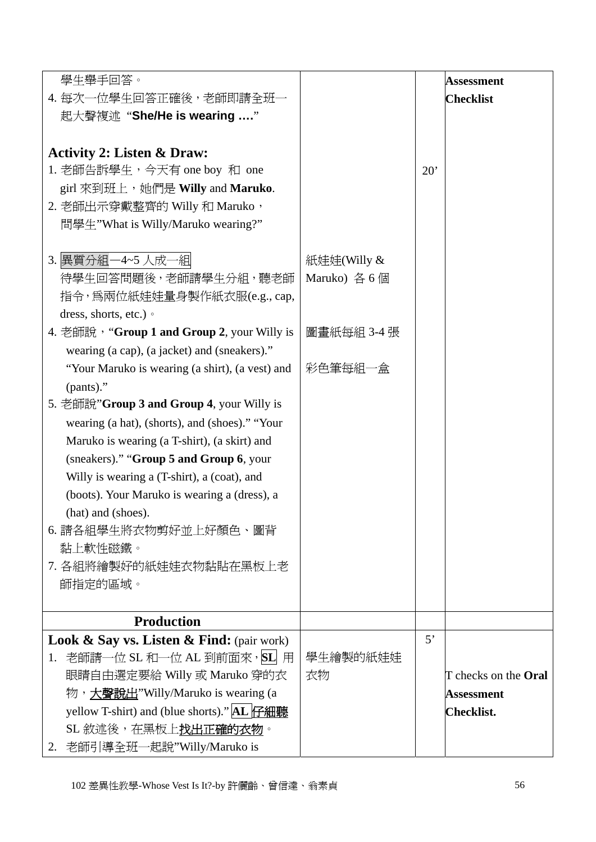| 學生舉手回答。                                                                                                                                                                                                                                                                                                                                                                                                                                                                                                                                                                                                                                                                                                                                                                                    |                                                     |     | <b>Assessment</b>                                                     |
|--------------------------------------------------------------------------------------------------------------------------------------------------------------------------------------------------------------------------------------------------------------------------------------------------------------------------------------------------------------------------------------------------------------------------------------------------------------------------------------------------------------------------------------------------------------------------------------------------------------------------------------------------------------------------------------------------------------------------------------------------------------------------------------------|-----------------------------------------------------|-----|-----------------------------------------------------------------------|
| 4. 每次一位學生回答正確後,老師即請全班一                                                                                                                                                                                                                                                                                                                                                                                                                                                                                                                                                                                                                                                                                                                                                                     |                                                     |     | <b>Checklist</b>                                                      |
| 起大聲複述 "She/He is wearing "                                                                                                                                                                                                                                                                                                                                                                                                                                                                                                                                                                                                                                                                                                                                                                 |                                                     |     |                                                                       |
| <b>Activity 2: Listen &amp; Draw:</b><br>1. 老師告訴學生,今天有 one boy 和 one<br>girl 來到班上, 她們是 Willy and Maruko.<br>2. 老師出示穿戴整齊的 Willy 和 Maruko,<br>問學生"What is Willy/Maruko wearing?"<br>3. 異質分組-4~5 人成一組<br>待學生回答問題後,老師請學生分組,聽老師<br>指令,爲兩位紙娃娃量身製作紙衣服(e.g., cap,<br>dress, shorts, etc.) •<br>4. 老師說, "Group 1 and Group 2, your Willy is<br>wearing (a cap), (a jacket) and (sneakers)."<br>"Your Maruko is wearing (a shirt), (a vest) and<br>(pants)."<br>5. 老師說"Group 3 and Group 4, your Willy is<br>wearing (a hat), (shorts), and (shoes)." "Your<br>Maruko is wearing (a T-shirt), (a skirt) and<br>(sneakers)." "Group 5 and Group 6, your<br>Willy is wearing a (T-shirt), a (coat), and<br>(boots). Your Maruko is wearing a (dress), a<br>(hat) and (shoes).<br>6. 請各組學生將衣物剪好並上好顏色、圖背 | 紙娃娃(Willy &<br>Maruko) 各6個<br>圖畫紙每組 3-4張<br>彩色筆每組一盒 | 20' |                                                                       |
| 黏上軟性磁鐵。                                                                                                                                                                                                                                                                                                                                                                                                                                                                                                                                                                                                                                                                                                                                                                                    |                                                     |     |                                                                       |
| 7. 各組將繪製好的紙娃娃衣物黏貼在黑板上老                                                                                                                                                                                                                                                                                                                                                                                                                                                                                                                                                                                                                                                                                                                                                                     |                                                     |     |                                                                       |
| 師指定的區域。                                                                                                                                                                                                                                                                                                                                                                                                                                                                                                                                                                                                                                                                                                                                                                                    |                                                     |     |                                                                       |
|                                                                                                                                                                                                                                                                                                                                                                                                                                                                                                                                                                                                                                                                                                                                                                                            |                                                     |     |                                                                       |
| <b>Production</b>                                                                                                                                                                                                                                                                                                                                                                                                                                                                                                                                                                                                                                                                                                                                                                          |                                                     |     |                                                                       |
| <b>Look &amp; Say vs. Listen &amp; Find:</b> (pair work)<br>1. 老師請一位 SL 和一位 AL 到前面來, SL 用<br>眼睛自由選定要給 Willy 或 Maruko 穿的衣<br>物, 大聲說出"Willy/Maruko is wearing (a<br>yellow T-shirt) and (blue shorts)." AL 仔細聽<br>SL 敘述後, 在黑板上找出正確的衣物。                                                                                                                                                                                                                                                                                                                                                                                                                                                                                                                                                       | 學生繪製的紙娃娃<br>衣物                                      | 5'  | T checks on the <b>Oral</b><br><b>Assessment</b><br><b>Checklist.</b> |
| 2. 老師引導全班一起說"Willy/Maruko is                                                                                                                                                                                                                                                                                                                                                                                                                                                                                                                                                                                                                                                                                                                                                               |                                                     |     |                                                                       |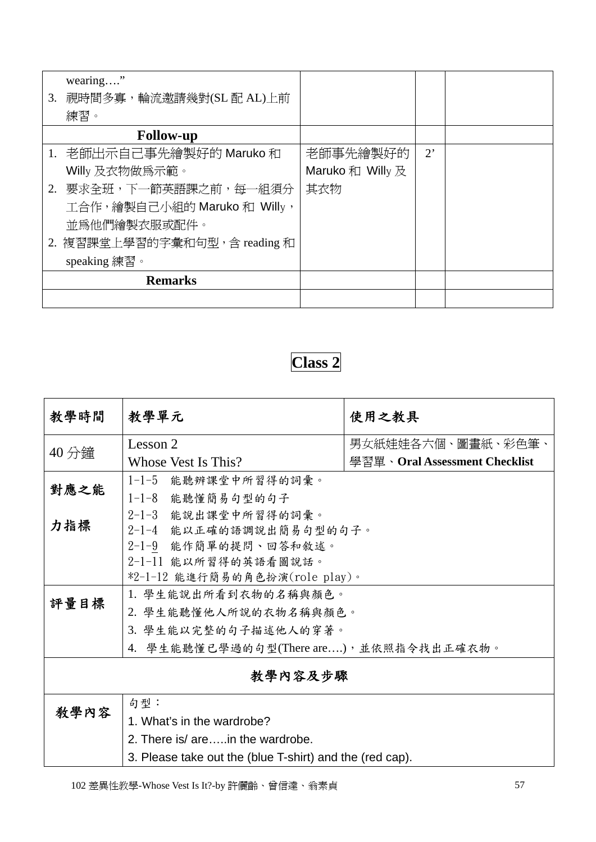| wearing $\cdot$               |                  |             |  |
|-------------------------------|------------------|-------------|--|
| 3. 視時間多寡,輪流邀請幾對(SL 配 AL)上前    |                  |             |  |
| 練習。                           |                  |             |  |
| <b>Follow-up</b>              |                  |             |  |
| 1. 老師出示自己事先繪製好的 Maruko 和      | 老師事先繪製好的         | $2^{\circ}$ |  |
| Willy 及衣物做為示範。                | Maruko 和 Willy 及 |             |  |
| 2. 要求全班,下一節英語課之前,每一組須分        | 其衣物              |             |  |
| 工合作,繪製自己小組的 Maruko 和 Willy,   |                  |             |  |
| 並爲他們繪製衣服或配件。                  |                  |             |  |
| 2. 複習課堂上學習的字彙和句型, 含 reading 和 |                  |             |  |
| speaking 練習。                  |                  |             |  |
| <b>Remarks</b>                |                  |             |  |
|                               |                  |             |  |

| 教學時間                         | 教學單元                                                     | 使用之教具                         |  |  |  |  |  |  |  |
|------------------------------|----------------------------------------------------------|-------------------------------|--|--|--|--|--|--|--|
| 40 分鐘                        | Lesson 2                                                 | 男女紙娃娃各六個、圖畫紙、彩色筆、             |  |  |  |  |  |  |  |
|                              | Whose Vest Is This?                                      | 學習單、Oral Assessment Checklist |  |  |  |  |  |  |  |
| $1 - 1 - 5$<br>能聽辨課堂中所習得的詞彙。 |                                                          |                               |  |  |  |  |  |  |  |
| 對應之能                         | $1 - 1 - 8$<br>能聽懂簡易句型的句子                                |                               |  |  |  |  |  |  |  |
|                              | 2-1-3 能說出課堂中所習得的詞彙。                                      |                               |  |  |  |  |  |  |  |
| 力指標                          | 2-1-4 能以正確的語調說出簡易句型的句子。                                  |                               |  |  |  |  |  |  |  |
|                              | 2-1-9 能作簡單的提問、回答和敘述。                                     |                               |  |  |  |  |  |  |  |
|                              | 2-1-11 能以所習得的英語看圖說話。                                     |                               |  |  |  |  |  |  |  |
|                              | *2-1-12 能進行簡易的角色扮演(role play)。                           |                               |  |  |  |  |  |  |  |
| 評量目標                         | 1. 學生能說出所看到衣物的名稱與顏色。                                     |                               |  |  |  |  |  |  |  |
|                              | 2. 學生能聽懂他人所說的衣物名稱與顏色。                                    |                               |  |  |  |  |  |  |  |
|                              | 3. 學生能以完整的句子描述他人的穿著。                                     |                               |  |  |  |  |  |  |  |
|                              | 4. 學生能聽懂已學過的句型(There are),並依照指令找出正確衣物。                   |                               |  |  |  |  |  |  |  |
| 教學內容及步驟                      |                                                          |                               |  |  |  |  |  |  |  |
| 教學內容                         | 句型:                                                      |                               |  |  |  |  |  |  |  |
|                              | 1. What's in the wardrobe?                               |                               |  |  |  |  |  |  |  |
|                              | 2. There is/ arein the wardrobe.                         |                               |  |  |  |  |  |  |  |
|                              | 3. Please take out the (blue T-shirt) and the (red cap). |                               |  |  |  |  |  |  |  |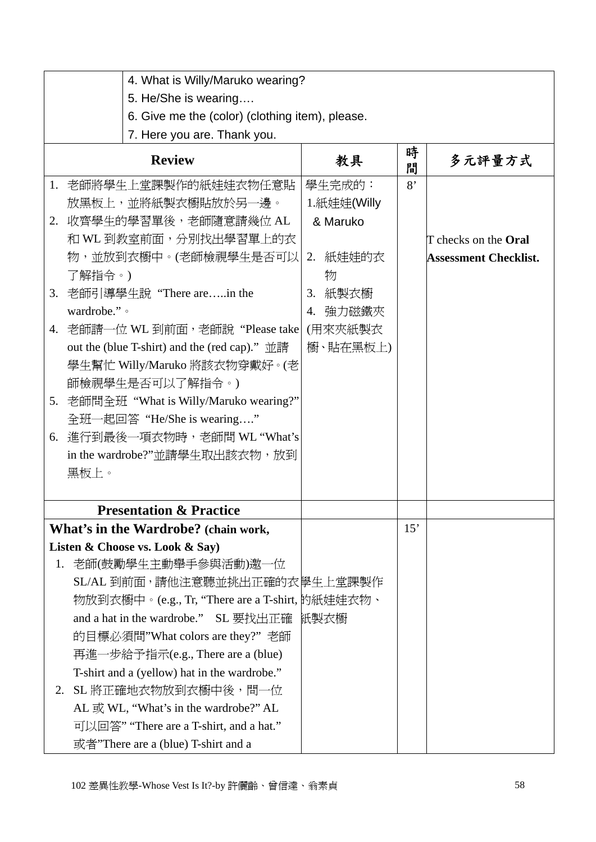|                | 4. What is Willy/Maruko wearing?<br>5. He/She is wearing<br>6. Give me the (color) (clothing item), please.<br>7. Here you are. Thank you.                                                                                                                                                                                                                                                                                                                                                            |                                                                                                        |        |                                                             |
|----------------|-------------------------------------------------------------------------------------------------------------------------------------------------------------------------------------------------------------------------------------------------------------------------------------------------------------------------------------------------------------------------------------------------------------------------------------------------------------------------------------------------------|--------------------------------------------------------------------------------------------------------|--------|-------------------------------------------------------------|
|                | <b>Review</b>                                                                                                                                                                                                                                                                                                                                                                                                                                                                                         | 教具                                                                                                     | 時<br>間 | 多元評量方式                                                      |
| 2.<br>3.<br>6. | 1. 老師將學生上堂課製作的紙娃娃衣物任意貼<br>放黑板上,並將紙製衣櫥貼放於另一邊。<br>收齊學生的學習單後,老師隨意請幾位 AL<br>和 WL 到教室前面,分別找出學習單上的衣<br>物,並放到衣櫥中。(老師檢視學生是否可以<br>了解指令。)<br>老師引導學生說 "There arein the<br>wardrobe." •<br>4. 老師請一位 WL 到前面,老師說"Please take<br>out the (blue T-shirt) and the (red cap)." 並請<br>學生幫忙 Willy/Maruko 將該衣物穿戴好。(老<br>師檢視學生是否可以了解指令。)<br>5. 老師問全班 "What is Willy/Maruko wearing?"<br>全班一起回答 "He/She is wearing"<br>進行到最後一項衣物時,老師問 WL "What's<br>in the wardrobe?"並請學生取出該衣物, 放到<br>黑板上。                                   | 學生完成的:<br>1.紙娃娃(Willy<br>& Maruko<br>2. 紙娃娃的衣<br>物<br>紙製衣櫥<br>3.<br>強力磁鐵夾<br>4.<br>(用來夾紙製衣<br>櫥、貼在黑板上) | 8'     | T checks on the <b>Oral</b><br><b>Assessment Checklist.</b> |
|                | <b>Presentation &amp; Practice</b>                                                                                                                                                                                                                                                                                                                                                                                                                                                                    |                                                                                                        |        |                                                             |
| 1.<br>2.       | What's in the Wardrobe? (chain work,<br>Listen & Choose vs. Look & Say)<br>老師(鼓勵學生主動舉手參與活動)邀一位<br>SL/AL 到前面,請他注意聽並挑出正確的衣學生上堂課製作<br>物放到衣櫥中。(e.g., Tr, "There are a T-shirt, 的紙娃娃衣物、<br>and a hat in the wardrobe." SL 要找出正確<br>的目標必須問"What colors are they?" 老師<br>再進一步給予指示(e.g., There are a (blue)<br>T-shirt and a (yellow) hat in the wardrobe."<br>SL 將正確地衣物放到衣櫥中後,問一位<br>AL 或 WL, "What's in the wardrobe?" AL<br>可以回答" "There are a T-shirt, and a hat."<br>或者"There are a (blue) T-shirt and a | 紙製衣櫥                                                                                                   | 15'    |                                                             |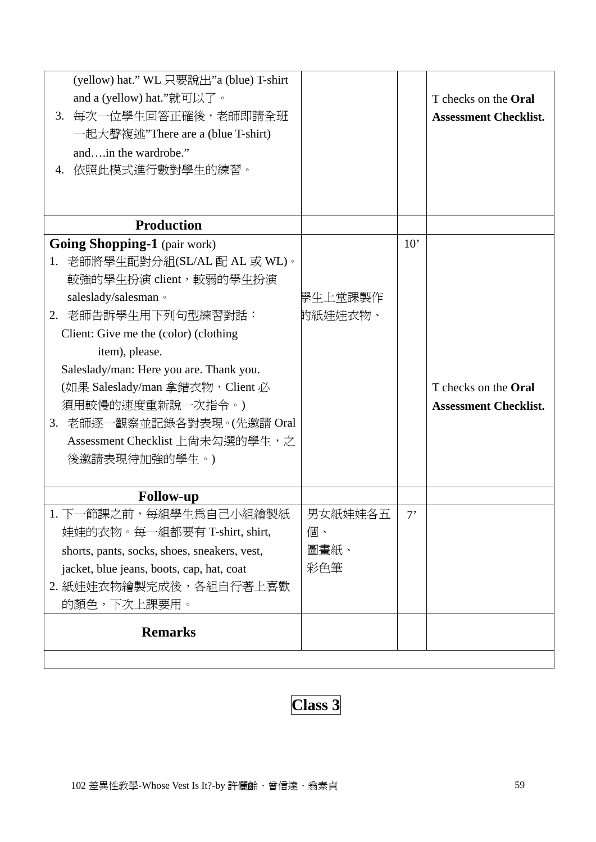| (yellow) hat." WL 只要說出"a (blue) T-shirt<br>and a (yellow) hat."就可以了。<br>3. 每次一位學生回答正確後,老師即請全班<br>一起大聲複述"There are a (blue T-shirt)<br>andin the wardrobe."<br>4. 依照此模式進行數對學生的練習。                                                                                                                                                                                                                   |                              |             | T checks on the <b>Oral</b><br><b>Assessment Checklist.</b> |
|----------------------------------------------------------------------------------------------------------------------------------------------------------------------------------------------------------------------------------------------------------------------------------------------------------------------------------------------------------------------------------------------------|------------------------------|-------------|-------------------------------------------------------------|
| <b>Production</b>                                                                                                                                                                                                                                                                                                                                                                                  |                              |             |                                                             |
| <b>Going Shopping-1</b> (pair work)<br>1. 老師將學生配對分組(SL/AL 配 AL 或 WL)。<br>較強的學生扮演 client, 較弱的學生扮演<br>saleslady/salesman ·<br>2. 老師告訴學生用下列句型練習對話:<br>Client: Give me the (color) (clothing<br>item), please.<br>Saleslady/man: Here you are. Thank you.<br>(如果 Saleslady/man 拿錯衣物, Client 必<br>須用較慢的速度重新說一次指令。)<br>老師逐一觀察並記錄各對表現。(先邀請 Oral<br>3.<br>Assessment Checklist 上尚未勾選的學生,之<br>後邀請表現待加強的學生。) | 學生上堂課製作<br>的紙娃娃衣物、           | 10'         | T checks on the <b>Oral</b><br><b>Assessment Checklist.</b> |
| <b>Follow-up</b>                                                                                                                                                                                                                                                                                                                                                                                   |                              |             |                                                             |
| 1. 下一節課之前,每組學生爲自己小組繪製紙<br>娃娃的衣物。每一組都要有 T-shirt, shirt,<br>shorts, pants, socks, shoes, sneakers, vest,<br>jacket, blue jeans, boots, cap, hat, coat<br>2. 紙娃娃衣物繪製完成後,各組自行著上喜歡<br>的顏色,下次上課要用。                                                                                                                                                                                                       | 男女紙娃娃各五<br>個、<br>圖畫紙、<br>彩色筆 | $7^{\circ}$ |                                                             |
| <b>Remarks</b>                                                                                                                                                                                                                                                                                                                                                                                     |                              |             |                                                             |
|                                                                                                                                                                                                                                                                                                                                                                                                    |                              |             |                                                             |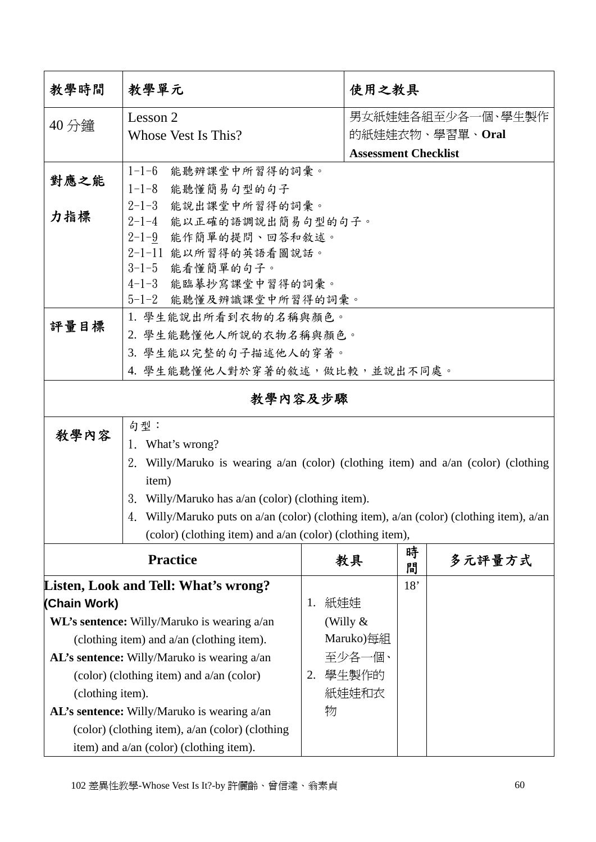| 教學時間                                        | 教學單元                                                                                     |           | 使用之教具                       |        |                   |  |  |  |
|---------------------------------------------|------------------------------------------------------------------------------------------|-----------|-----------------------------|--------|-------------------|--|--|--|
| 40 分鐘                                       | Lesson 2                                                                                 |           |                             |        | 男女紙娃娃各組至少各一個、學生製作 |  |  |  |
|                                             | Whose Vest Is This?                                                                      |           |                             |        | 的紙娃娃衣物、學習單、Oral   |  |  |  |
|                                             |                                                                                          |           | <b>Assessment Checklist</b> |        |                   |  |  |  |
| 對應之能                                        | 1-1-6 能聽辨課堂中所習得的詞彙。                                                                      |           |                             |        |                   |  |  |  |
|                                             | $1 - 1 - 8$<br>能聽懂簡易句型的句子                                                                |           |                             |        |                   |  |  |  |
|                                             | 2-1-3 能說出課堂中所習得的詞彙。                                                                      |           |                             |        |                   |  |  |  |
| 力指標                                         | 2-1-4 能以正確的語調說出簡易句型的句子。                                                                  |           |                             |        |                   |  |  |  |
|                                             | 2-1-9 能作簡單的提問、回答和敘述。                                                                     |           |                             |        |                   |  |  |  |
|                                             | 2-1-11 能以所習得的英語看圖說話。<br>3-1-5 能看懂簡單的句子。                                                  |           |                             |        |                   |  |  |  |
|                                             | 4-1-3 能臨摹抄寫課堂中習得的詞彙。                                                                     |           |                             |        |                   |  |  |  |
|                                             | 5-1-2 能聽懂及辨識課堂中所習得的詞彙。                                                                   |           |                             |        |                   |  |  |  |
|                                             | 1. 學生能說出所看到衣物的名稱與顏色。                                                                     |           |                             |        |                   |  |  |  |
| 評量目標                                        | 2. 學生能聽懂他人所說的衣物名稱與顏色。                                                                    |           |                             |        |                   |  |  |  |
|                                             | 3. 學生能以完整的句子描述他人的穿著。                                                                     |           |                             |        |                   |  |  |  |
|                                             | 4. 學生能聽懂他人對於穿著的敘述,做比較,並說出不同處。                                                            |           |                             |        |                   |  |  |  |
|                                             |                                                                                          |           |                             |        |                   |  |  |  |
|                                             | 教學內容及步驟                                                                                  |           |                             |        |                   |  |  |  |
|                                             | 句型:                                                                                      |           |                             |        |                   |  |  |  |
| 敎學內容                                        | 1. What's wrong?                                                                         |           |                             |        |                   |  |  |  |
|                                             | 2. Willy/Maruko is wearing a/an (color) (clothing item) and a/an (color) (clothing       |           |                             |        |                   |  |  |  |
|                                             | item)                                                                                    |           |                             |        |                   |  |  |  |
|                                             | 3. Willy/Maruko has a/an (color) (clothing item).                                        |           |                             |        |                   |  |  |  |
|                                             | 4. Willy/Maruko puts on a/an (color) (clothing item), a/an (color) (clothing item), a/an |           |                             |        |                   |  |  |  |
|                                             | (color) (clothing item) and a/an (color) (clothing item),                                |           |                             |        |                   |  |  |  |
|                                             | <b>Practice</b>                                                                          |           | 教具                          | 時<br>間 | 多元評量方式            |  |  |  |
|                                             | Listen, Look and Tell: What's wrong?                                                     |           |                             | 18'    |                   |  |  |  |
| (Chain Work)                                |                                                                                          | 紙娃娃<br>1. |                             |        |                   |  |  |  |
|                                             | WL's sentence: Willy/Maruko is wearing a/an                                              |           | (Willy $&$                  |        |                   |  |  |  |
| (clothing item) and a/an (clothing item).   |                                                                                          |           | Maruko)每組                   |        |                   |  |  |  |
| AL's sentence: Willy/Maruko is wearing a/an |                                                                                          | 至少各一個、    |                             |        |                   |  |  |  |
| (color) (clothing item) and a/an (color)    |                                                                                          | 2. 學生製作的  |                             |        |                   |  |  |  |
| (clothing item).                            |                                                                                          | 紙娃娃和衣     |                             |        |                   |  |  |  |
|                                             | AL's sentence: Willy/Maruko is wearing a/an                                              | 物         |                             |        |                   |  |  |  |
|                                             | (color) (clothing item), a/an (color) (clothing                                          |           |                             |        |                   |  |  |  |
|                                             | item) and a/an (color) (clothing item).                                                  |           |                             |        |                   |  |  |  |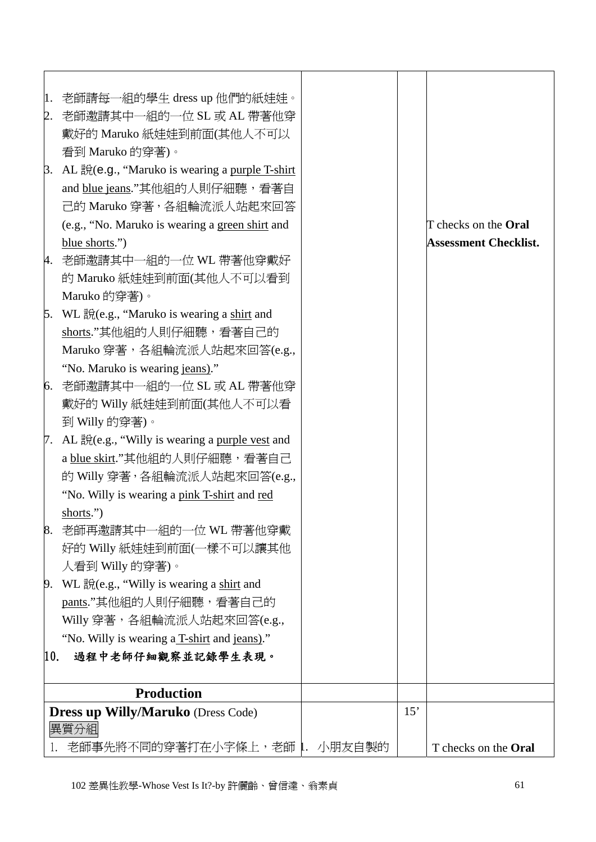| 1.  | 老師請每一組的學生 dress up 他們的紙娃娃。                                    |     |                              |
|-----|---------------------------------------------------------------|-----|------------------------------|
|     | 2. 老師邀請其中一組的一位 SL 或 AL 帶著他穿                                   |     |                              |
|     | 戴好的 Maruko 紙娃娃到前面(其他人不可以                                      |     |                              |
|     | 看到 Maruko 的穿著)。                                               |     |                              |
|     | $\beta$ . AL 說 $(e.g., "Maruko is wearing a purple T-shift$   |     |                              |
|     | and blue jeans."其他組的人則仔細聽,看著自                                 |     |                              |
|     | 己的 Maruko 穿著, 各組輪流派人站起來回答                                     |     |                              |
|     | (e.g., "No. Maruko is wearing a green shirt and               |     | T checks on the <b>Oral</b>  |
|     | blue shorts.")                                                |     | <b>Assessment Checklist.</b> |
| 4.  | 老師邀請其中一組的一位 WL 帶著他穿戴好                                         |     |                              |
|     | 的 Maruko 紙娃娃到前面(其他人不可以看到                                      |     |                              |
|     | Maruko 的穿著)。                                                  |     |                              |
|     | 5. WL 說(e.g., "Maruko is wearing a shirt and                  |     |                              |
|     | shorts."其他組的人則仔細聽,看著自己的                                       |     |                              |
|     | Maruko 穿著, 各組輪流派人站起來回答(e.g.,                                  |     |                              |
|     | "No. Maruko is wearing jeans)."                               |     |                              |
| 6.  | 老師邀請其中一組的一位 SL 或 AL 帶著他穿                                      |     |                              |
|     | 戴好的 Willy 紙娃娃到前面(其他人不可以看                                      |     |                              |
|     | 到 Willy 的穿著)。                                                 |     |                              |
|     | 7. AL $\mathbb{R}$ (e.g., "Willy is wearing a purple vest and |     |                              |
|     | a blue skirt."其他組的人則仔細聽,看著自己                                  |     |                              |
|     | 的 Willy 穿著, 各組輪流派人站起來回答(e.g.,                                 |     |                              |
|     | "No. Willy is wearing a pink T-shirt and red                  |     |                              |
|     | shorts.")                                                     |     |                              |
| 8.  | 老師再邀請其中一組的一位 WL 帶著他穿戴                                         |     |                              |
|     | 好的 Willy 紙娃娃到前面(一樣不可以讓其他                                      |     |                              |
|     | 人看到 Willy 的穿著)。                                               |     |                              |
|     | 9. WL 說 $(e.g., "Willy is wearing a shirt and$                |     |                              |
|     | pants."其他組的人則仔細聽,看著自己的                                        |     |                              |
|     | Willy 穿著,各組輪流派人站起來回答(e.g.,                                    |     |                              |
|     | "No. Willy is wearing a T-shirt and jeans)."                  |     |                              |
| 10. | 過程中老師仔細觀察並記錄學生表現。                                             |     |                              |
|     | <b>Production</b>                                             |     |                              |
|     | <b>Dress up Willy/Maruko</b> (Dress Code)                     | 15' |                              |
|     | 異質分組                                                          |     |                              |
|     | 老師事先將不同的穿著打在小字條上,老師 ‖. 小朋友自製的                                 |     | T checks on the Oral         |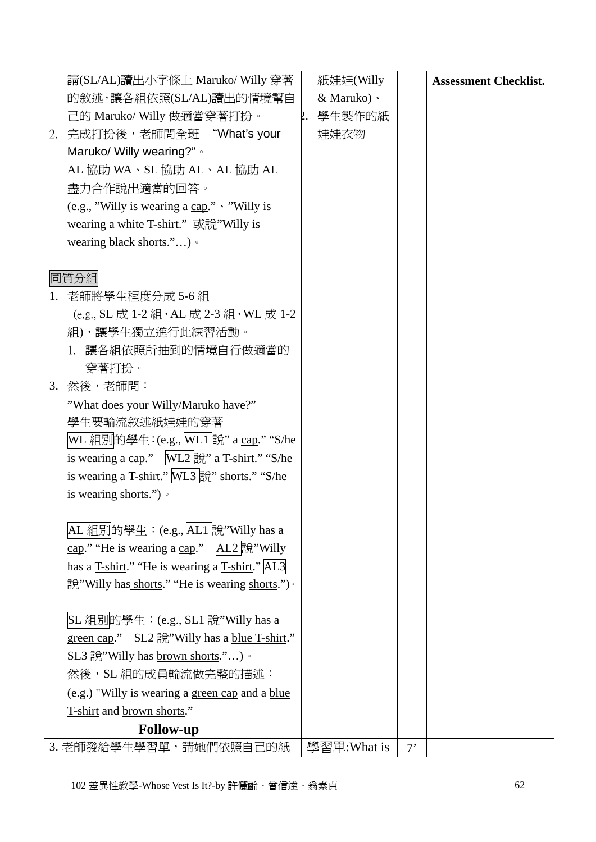| 請(SL/AL)讀出小字條上 Maruko/ Willy 穿著                           |    | 紙娃娃(Willy   |             | <b>Assessment Checklist.</b> |
|-----------------------------------------------------------|----|-------------|-------------|------------------------------|
| 的敘述,讓各組依照(SL/AL)讀出的情境幫自                                   |    | & Maruko) · |             |                              |
| 己的 Maruko/ Willy 做適當穿著打扮。                                 | 2. | 學生製作的紙      |             |                              |
| 2. 完成打扮後,老師問全班 "What's your                               |    | 娃娃衣物        |             |                              |
| Maruko/ Willy wearing?" .                                 |    |             |             |                              |
| AL 協助 WA、SL 協助 AL、AL 協助 AL                                |    |             |             |                              |
| 盡力合作說出適當的回答。                                              |    |             |             |                              |
| (e.g., "Willy is wearing a cap." $\cdot$ "Willy is        |    |             |             |                              |
| wearing a white T-shirt." 或說"Willy is                     |    |             |             |                              |
| wearing black shorts.")                                   |    |             |             |                              |
|                                                           |    |             |             |                              |
| 同質分組                                                      |    |             |             |                              |
| 1. 老師將學生程度分成 5-6 組                                        |    |             |             |                              |
| (e.g., SL 成 1-2 組, AL 成 2-3 組, WL 成 1-2                   |    |             |             |                              |
| 組),讓學生獨立進行此練習活動。                                          |    |             |             |                              |
| 讓各組依照所抽到的情境自行做適當的<br>1.                                   |    |             |             |                              |
| 穿著打扮。                                                     |    |             |             |                              |
| 3. 然後,老師問:                                                |    |             |             |                              |
| "What does your Willy/Maruko have?"                       |    |             |             |                              |
| 學生要輪流敘述紙娃娃的穿著                                             |    |             |             |                              |
| WL 組別的學生:(e.g., <mark>WL1</mark> 說" a <u>cap</u> ." "S/he |    |             |             |                              |
| is wearing a cap." $[WL2 \frac{2}{3}$ a T-shirt." "S/he   |    |             |             |                              |
| is wearing a T-shirt." WL3 說" shorts." "S/he              |    |             |             |                              |
| is wearing shorts.") $\circ$                              |    |             |             |                              |
|                                                           |    |             |             |                              |
| AL 組別的學生:(e.g., AL1 說''Willy has a                        |    |             |             |                              |
| cap." "He is wearing a cap." $AL2 \exists x$ "Willy"      |    |             |             |                              |
| has a T-shirt." "He is wearing a T-shirt." AL3            |    |             |             |                              |
| 說"Willy has shorts." "He is wearing shorts.")。            |    |             |             |                              |
|                                                           |    |             |             |                              |
| SL 組別的學生:(e.g., SL1 說"Willy has a                         |    |             |             |                              |
| green cap." SL2 說"Willy has a blue T-shirt."              |    |             |             |                              |
| SL3 說"Willy has <b>brown shorts."</b> )。                  |    |             |             |                              |
| 然後, SL 組的成員輪流做完整的描述:                                      |    |             |             |                              |
| (e.g.) "Willy is wearing a green cap and a blue           |    |             |             |                              |
| T-shirt and brown shorts."                                |    |             |             |                              |
| <b>Follow-up</b><br>3. 老師發給學生學習單,請她們依照自己的紙                |    | 學習單:What is | $7^{\circ}$ |                              |
|                                                           |    |             |             |                              |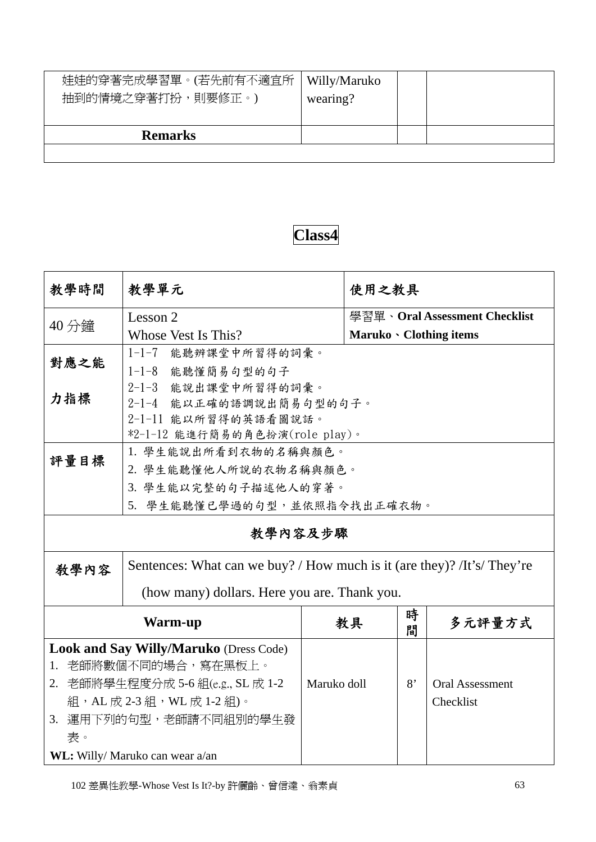| 娃娃的穿著完成學習單。(若先前有不適宜所<br>抽到的情境之穿著打扮,則要修正。) | Willy/Maruko<br>wearing? |
|-------------------------------------------|--------------------------|
| <b>Remarks</b>                            |                          |
|                                           |                          |

| 教學時間                                                                             | 教學單元                                                                    |  | 使用之教具 |           |                               |
|----------------------------------------------------------------------------------|-------------------------------------------------------------------------|--|-------|-----------|-------------------------------|
| 40 分鐘                                                                            | Lesson 2                                                                |  |       |           | 學習單、Oral Assessment Checklist |
|                                                                                  | Whose Vest Is This?                                                     |  |       |           | Maruko · Clothing items       |
| 對應之能                                                                             | $1 - 1 - 7$<br>能聽辨課堂中所習得的詞彙。                                            |  |       |           |                               |
|                                                                                  | 1-1-8 能聽懂簡易句型的句子                                                        |  |       |           |                               |
| 力指標                                                                              | 2-1-3 能說出課堂中所習得的詞彙。                                                     |  |       |           |                               |
|                                                                                  | 2-1-4 能以正確的語調說出簡易句型的句子。                                                 |  |       |           |                               |
|                                                                                  | 2-1-11 能以所習得的英語看圖說話。                                                    |  |       |           |                               |
|                                                                                  | *2-1-12 能進行簡易的角色扮演(role play)。<br>1. 學生能說出所看到衣物的名稱與顏色。                  |  |       |           |                               |
| 評量目標                                                                             | 2. 學生能聽懂他人所說的衣物名稱與顏色。                                                   |  |       |           |                               |
|                                                                                  | 3. 學生能以完整的句子描述他人的穿著。                                                    |  |       |           |                               |
|                                                                                  |                                                                         |  |       |           |                               |
|                                                                                  | 5. 學生能聽懂已學過的句型,並依照指令找出正確衣物。                                             |  |       |           |                               |
|                                                                                  | 教學內容及步驟                                                                 |  |       |           |                               |
| 教學內容                                                                             | Sentences: What can we buy? / How much is it (are they)? /It's/ They're |  |       |           |                               |
|                                                                                  | (how many) dollars. Here you are. Thank you.                            |  |       |           |                               |
|                                                                                  | <b>Warm-up</b>                                                          |  | 教具    | 時<br>間    | 多元評量方式                        |
|                                                                                  | Look and Say Willy/Maruko (Dress Code)                                  |  |       |           |                               |
|                                                                                  | 1. 老師將數個不同的場合,寫在黑板上。                                                    |  |       |           |                               |
| 2. 老師將學生程度分成 5-6 組(e.g., SL 成 1-2<br>Maruko doll<br>8'<br><b>Oral Assessment</b> |                                                                         |  |       |           |                               |
| 組, AL 成 2-3 組, WL 成 1-2 組)。                                                      |                                                                         |  |       | Checklist |                               |
| 3. 運用下列的句型,老師請不同組別的學生發                                                           |                                                                         |  |       |           |                               |
| 表。                                                                               |                                                                         |  |       |           |                               |
|                                                                                  | WL: Willy/ Maruko can wear a/an                                         |  |       |           |                               |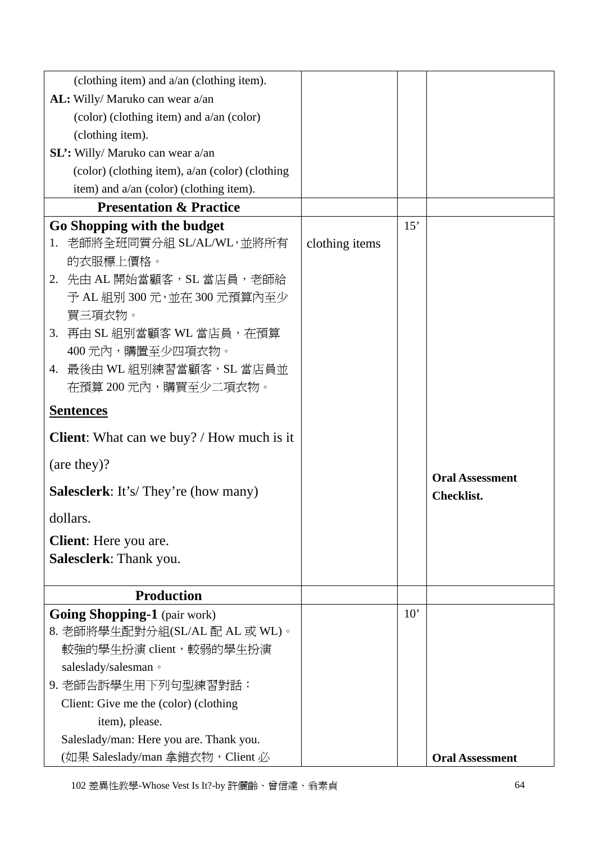| (clothing item) and a/an (clothing item).            |                |     |                                             |
|------------------------------------------------------|----------------|-----|---------------------------------------------|
| AL: Willy/ Maruko can wear a/an                      |                |     |                                             |
| $\alpha$ (color) (clothing item) and $a$ /an (color) |                |     |                                             |
| (clothing item).                                     |                |     |                                             |
| SL': Willy/ Maruko can wear a/an                     |                |     |                                             |
| (color) (clothing item), a/an (color) (clothing      |                |     |                                             |
| item) and a/an (color) (clothing item).              |                |     |                                             |
| <b>Presentation &amp; Practice</b>                   |                |     |                                             |
| Go Shopping with the budget                          |                | 15' |                                             |
| 老師將全班同質分組 SL/AL/WL,並將所有<br>1.                        | clothing items |     |                                             |
| 的衣服標上價格。                                             |                |     |                                             |
| 2. 先由 AL 開始當顧客,SL 當店員,老師給                            |                |     |                                             |
| 予 AL 組別 300 元,並在 300 元預算內至少                          |                |     |                                             |
| 買三項衣物。                                               |                |     |                                             |
| 3. 再由 SL 組別當顧客 WL 當店員, 在預算                           |                |     |                                             |
| 400 元內,購置至少四項衣物。                                     |                |     |                                             |
| 4. 最後由 WL 組別練習當顧客, SL 當店員並                           |                |     |                                             |
| 在預算 200 元內,購買至少二項衣物。                                 |                |     |                                             |
| <b>Sentences</b>                                     |                |     |                                             |
| <b>Client:</b> What can we buy? / How much is it     |                |     |                                             |
| (are they)?                                          |                |     |                                             |
| <b>Salesclerk:</b> It's/They're (how many)           |                |     | <b>Oral Assessment</b><br><b>Checklist.</b> |
| dollars.                                             |                |     |                                             |
| <b>Client:</b> Here you are.                         |                |     |                                             |
| Salesclerk: Thank you.                               |                |     |                                             |
|                                                      |                |     |                                             |
| <b>Production</b>                                    |                |     |                                             |
| <b>Going Shopping-1</b> (pair work)                  |                | 10' |                                             |
| 8. 老師將學生配對分組(SL/AL 配 AL 或 WL)。                       |                |     |                                             |
| 較強的學生扮演 client, 較弱的學生扮演                              |                |     |                                             |
| saleslady/salesman ·                                 |                |     |                                             |
| 9. 老師告訴學生用下列句型練習對話:                                  |                |     |                                             |
| Client: Give me the (color) (clothing                |                |     |                                             |
| item), please.                                       |                |     |                                             |
| Saleslady/man: Here you are. Thank you.              |                |     |                                             |
| (如果 Saleslady/man 拿錯衣物, Client 必                     |                |     | <b>Oral Assessment</b>                      |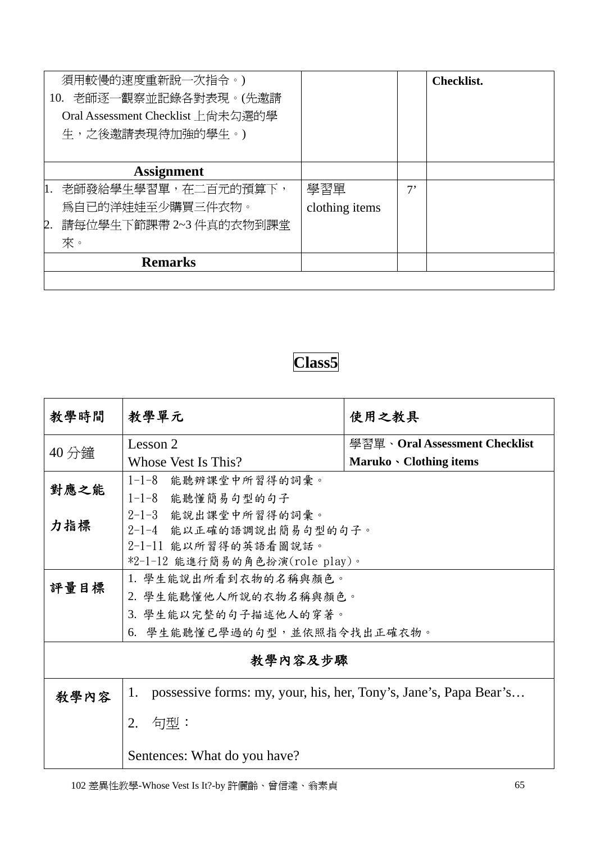| 須用較慢的速度重新說一次指令。)<br>10. 老師逐一觀察並記錄各對表現。(先邀請<br>Oral Assessment Checklist 上尚未勾選的學<br>生,之後邀請表現待加強的學生。) |                       |       | <b>Checklist.</b> |
|-----------------------------------------------------------------------------------------------------|-----------------------|-------|-------------------|
| <b>Assignment</b>                                                                                   |                       |       |                   |
| 老師發給學生學習單,在二百元的預算下,<br>1.<br>爲自已的洋娃娃至少購買三件衣物。                                                       | 學習單<br>clothing items | $7^,$ |                   |
| 請每位學生下節課帶 2~3 件真的衣物到課堂<br>2.<br>來。                                                                  |                       |       |                   |
| <b>Remarks</b>                                                                                      |                       |       |                   |



| 教學時間    | 教學單元                                                                    | 使用之教具                         |  |  |  |
|---------|-------------------------------------------------------------------------|-------------------------------|--|--|--|
| 40 分鐘   | Lesson 2                                                                | 學習單、Oral Assessment Checklist |  |  |  |
|         | Whose Vest Is This?                                                     | Maruko · Clothing items       |  |  |  |
| 對應之能    | $1 - 1 - 8$<br>能聽辨課堂中所習得的詞彙。                                            |                               |  |  |  |
|         | 1-1-8 能聽懂簡易句型的句子                                                        |                               |  |  |  |
|         | 2-1-3 能說出課堂中所習得的詞彙。                                                     |                               |  |  |  |
| 力指標     | 2-1-4 能以正確的語調說出簡易句型的句子。                                                 |                               |  |  |  |
|         | 2-1-11 能以所習得的英語看圖說話。                                                    |                               |  |  |  |
|         | $*2-1-12$ 能進行簡易的角色扮演(role play)。                                        |                               |  |  |  |
| 評量目標    | 1. 學生能說出所看到衣物的名稱與顏色。                                                    |                               |  |  |  |
|         | 2. 學生能聽懂他人所說的衣物名稱與顏色。                                                   |                               |  |  |  |
|         | 3. 學生能以完整的句子描述他人的穿著。                                                    |                               |  |  |  |
|         | 6. 學生能聽懂已學過的句型,並依照指令找出正確衣物。                                             |                               |  |  |  |
| 教學內容及步驟 |                                                                         |                               |  |  |  |
| 敎學內容    | possessive forms: my, your, his, her, Tony's, Jane's, Papa Bear's<br>1. |                               |  |  |  |
|         | 句型:<br>2.                                                               |                               |  |  |  |
|         | Sentences: What do you have?                                            |                               |  |  |  |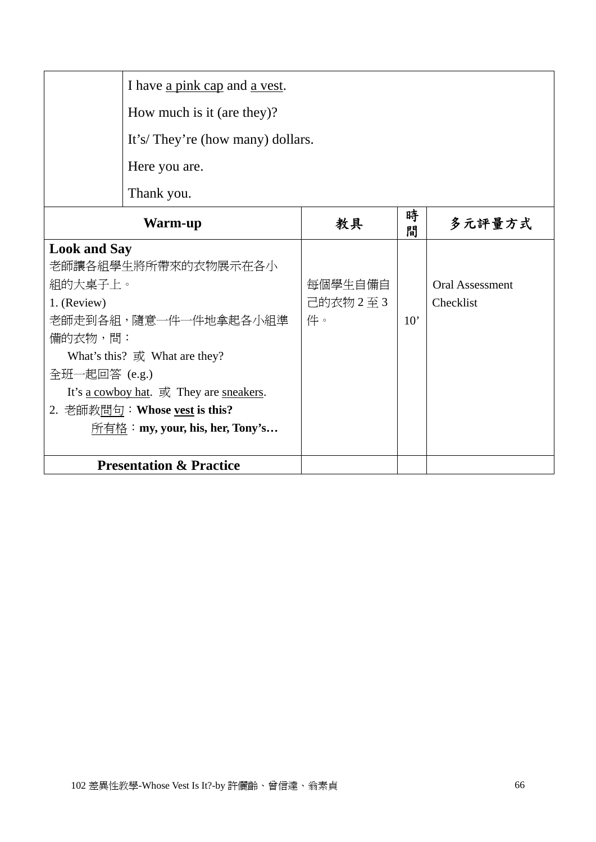| I have a pink cap and a vest.                                       |          |              |                        |  |
|---------------------------------------------------------------------|----------|--------------|------------------------|--|
| How much is it (are they)?                                          |          |              |                        |  |
| It's/They're (how many) dollars.                                    |          |              |                        |  |
| Here you are.                                                       |          |              |                        |  |
| Thank you.                                                          |          |              |                        |  |
| Warm-up                                                             | 教具       | 時<br>間       | 多元評量方式                 |  |
| <b>Look and Say</b>                                                 |          |              |                        |  |
| 老師讓各組學生將所帶來的衣物展示在各小                                                 |          |              |                        |  |
| 組的大桌子上。                                                             | 每個學生自備自  |              | <b>Oral Assessment</b> |  |
| 1. (Review)                                                         | 己的衣物 2至3 |              | Checklist              |  |
| 老師走到各組,隨意一件一件地拿起各小組準                                                | 件。       | $10^{\circ}$ |                        |  |
| 備的衣物,問:                                                             |          |              |                        |  |
| What's this? 或 What are they?                                       |          |              |                        |  |
| 全班一起回答 (e.g.)                                                       |          |              |                        |  |
| It's a cowboy hat. $\overrightarrow{\mathbf{E}}$ They are sneakers. |          |              |                        |  |
| 2. 老師教 <u>問句</u> : Whose <u>vest</u> is this?                       |          |              |                        |  |
| 所有格:my, your, his, her, Tony's                                      |          |              |                        |  |
|                                                                     |          |              |                        |  |
| <b>Presentation &amp; Practice</b>                                  |          |              |                        |  |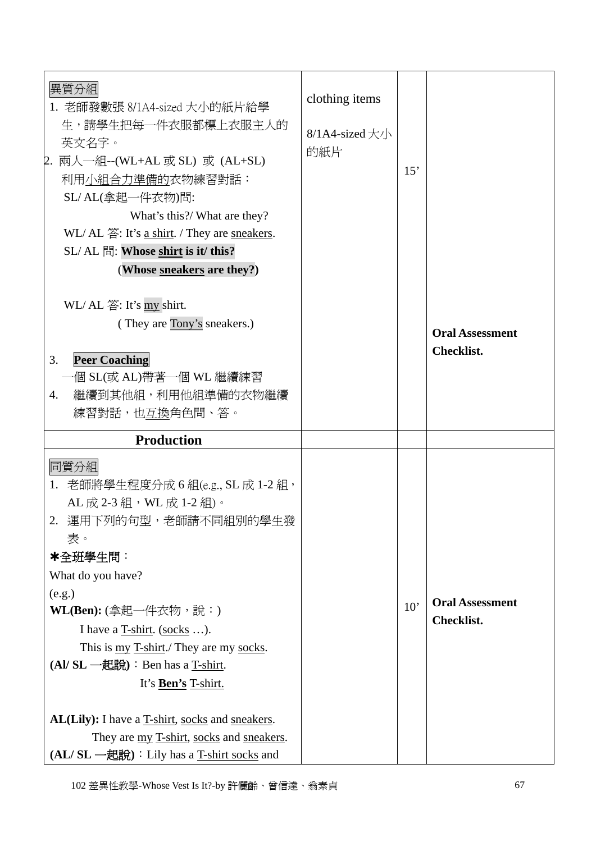| 異質分組<br>1. 老師發數張 8/1A4-sized 大小的紙片給學<br>生,請學生把每一件衣服都標上衣服主人的<br>英文名字。<br>2. 兩人一組--(WL+AL 或 SL) 或 (AL+SL)<br>利用小組合力準備的衣物練習對話:<br>SL/AL(拿起一件衣物)問:<br>What's this?/ What are they?<br>WL/AL $\overset{\sim}{A}$ : It's <u>a shirt</u> . / They are <u>sneakers</u> .<br>SL/AL 問: Whose shirt is it/ this?<br>(Whose sneakers are they?)<br>WL/AL $\overset{\sim}{\leq}$ : It's $\frac{my}{my}$ shirt.<br>(They are Tony's sneakers.)<br><b>Peer Coaching</b><br>3.<br>-個 SL(或 AL)帶著一個 WL 繼續練習<br>繼續到其他組,利用他組準備的衣物繼續<br>4.<br>練習對話,也 <u>互換</u> 角色問、答。 | clothing items<br>$8/1$ A4-sized $\pm$ /<br>的紙片 | 15' | <b>Oral Assessment</b><br><b>Checklist.</b> |
|--------------------------------------------------------------------------------------------------------------------------------------------------------------------------------------------------------------------------------------------------------------------------------------------------------------------------------------------------------------------------------------------------------------------------------------------------------------------------------------------------------------------------------------------------|-------------------------------------------------|-----|---------------------------------------------|
| <b>Production</b>                                                                                                                                                                                                                                                                                                                                                                                                                                                                                                                                |                                                 |     |                                             |
| 同質分組<br>1. 老師將學生程度分成 6 組(e.g., SL 成 1-2 組,<br>AL 成 2-3 組, WL 成 1-2 組)。<br>2. 運用下列的句型,老師請不同組別的學生發<br>表。<br>*全班學生問:<br>What do you have?<br>(e.g.)<br>$\text{WL}(\text{Ben})$ : (拿起一件衣物,說:)<br>I have a $T\text{-}shirt.$ (socks ).<br>This is <u>my T-shirt</u> ./ They are my <u>socks</u> .<br>(Al/ SL 一起說): Ben has a T-shirt.<br>It's <b>Ben's</b> T-shirt.<br>AL(Lily): I have a T-shirt, socks and sneakers.<br>They are <u>my T-shirt</u> , socks and sneakers.<br>(AL/ SL 一起說): Lily has a T-shirt socks and                              |                                                 | 10' | <b>Oral Assessment</b><br>Checklist.        |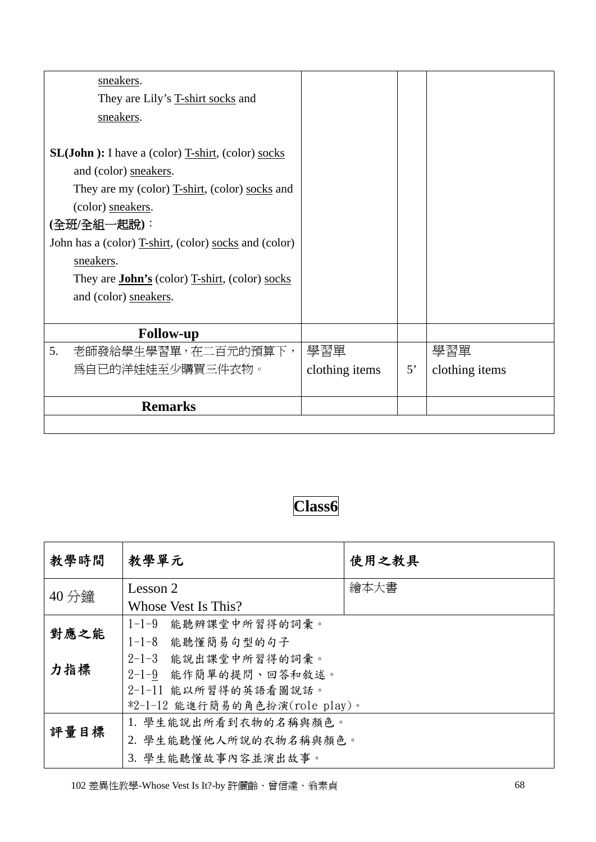| sneakers.                                                 |                |             |                |
|-----------------------------------------------------------|----------------|-------------|----------------|
| They are Lily's T-shirt socks and                         |                |             |                |
| sneakers.                                                 |                |             |                |
|                                                           |                |             |                |
| <b>SL(John ):</b> I have a (color) T-shirt, (color) socks |                |             |                |
| and (color) sneakers.                                     |                |             |                |
| They are my (color) T-shirt, (color) socks and            |                |             |                |
| (color) sneakers.                                         |                |             |                |
| (全班/全組一起說):                                               |                |             |                |
| John has a (color) T-shirt, (color) socks and (color)     |                |             |                |
| sneakers.                                                 |                |             |                |
| They are <b>John's</b> (color) T-shirt, (color) socks     |                |             |                |
| and (color) sneakers.                                     |                |             |                |
|                                                           |                |             |                |
| <b>Follow-up</b>                                          |                |             |                |
| 5.<br>老師發給學生學習單,在二百元的預算下,                                 | 學習單            |             | 學習單            |
| 爲自已的洋娃娃至少購買三件衣物。                                          | clothing items | $5^{\circ}$ | clothing items |
|                                                           |                |             |                |
| <b>Remarks</b>                                            |                |             |                |
|                                                           |                |             |                |

| 教學時間  | 教學單元                             | 使用之教具 |  |
|-------|----------------------------------|-------|--|
| 40 分鐘 | Lesson 2                         | 繪本大書  |  |
|       | Whose Vest Is This?              |       |  |
| 對應之能  | 1-1-9 能聽辨課堂中所習得的詞彙。              |       |  |
|       | 1-1-8 能聽懂簡易句型的句子                 |       |  |
|       | 2-1-3 能說出課堂中所習得的詞彙。              |       |  |
| 力指標   | 2-1-9 能作簡單的提問、回答和敘述。             |       |  |
|       | 2-1-11 能以所習得的英語看圖說話。             |       |  |
|       | $*2-1-12$ 能進行簡易的角色扮演(role play)。 |       |  |
| 評量目標  | 1. 學生能說出所看到衣物的名稱與顏色。             |       |  |
|       | 2. 學生能聽懂他人所說的衣物名稱與顏色。            |       |  |
|       | 3. 學生能聽懂故事內容並演出故事。               |       |  |

102 差異性教學-Whose Vest Is It?-by 許儷齡、曾信達、翁素貞 68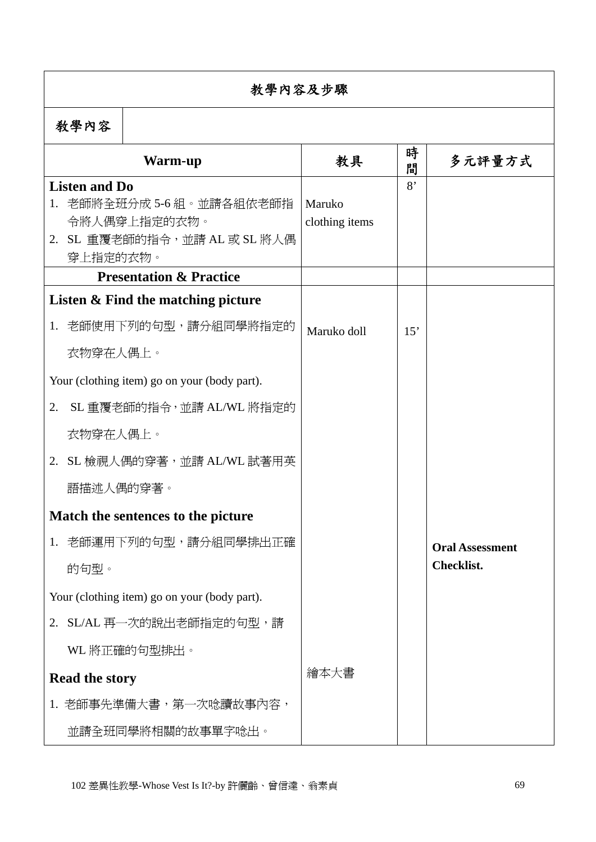## 教學內容及步驟

## 敎學內容

|    | ダスコリク                                                                                                         |                          |        |                        |
|----|---------------------------------------------------------------------------------------------------------------|--------------------------|--------|------------------------|
|    | Warm-up                                                                                                       | 教具                       | 時<br>間 | 多元評量方式                 |
|    | <b>Listen and Do</b><br>1. 老師將全班分成 5-6 組。並請各組依老師指<br>令將人偶穿上指定的衣物。<br>2. SL 重覆老師的指令,並請 AL 或 SL 將人偶<br>穿上指定的衣物。 | Maruko<br>clothing items | 8'     |                        |
|    | <b>Presentation &amp; Practice</b>                                                                            |                          |        |                        |
|    | Listen & Find the matching picture                                                                            |                          |        |                        |
|    | 1. 老師使用下列的句型,請分組同學將指定的<br>衣物穿在人偶上。                                                                            | Maruko doll              | 15'    |                        |
|    | Your (clothing item) go on your (body part).                                                                  |                          |        |                        |
| 2. | SL 重覆老師的指令,並請 AL/WL 將指定的                                                                                      |                          |        |                        |
|    | 衣物穿在人偶上。                                                                                                      |                          |        |                        |
|    | 2. SL 檢視人偶的穿著,並請 AL/WL 試著用英                                                                                   |                          |        |                        |
|    | 語描述人偶的穿著。                                                                                                     |                          |        |                        |
|    | Match the sentences to the picture                                                                            |                          |        |                        |
|    | 1. 老師運用下列的句型,請分組同學排出正確                                                                                        |                          |        | <b>Oral Assessment</b> |
|    | 的句型。                                                                                                          |                          |        | Checklist.             |
|    | Your (clothing item) go on your (body part).                                                                  |                          |        |                        |
| 2. | SL/AL 再一次的說出老師指定的句型,請                                                                                         |                          |        |                        |
|    | WL 將正確的句型排出。                                                                                                  |                          |        |                        |
|    | <b>Read the story</b>                                                                                         | 繪本大書                     |        |                        |
|    | 1. 老師事先準備大書,第一次唸讀故事內容,                                                                                        |                          |        |                        |
|    | 並請全班同學將相關的故事單字唸出。                                                                                             |                          |        |                        |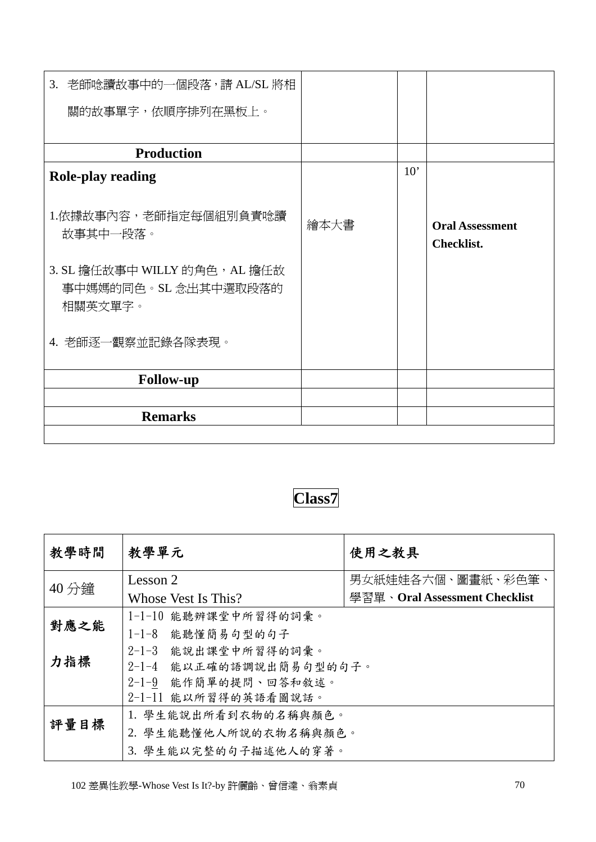| 3. 老師唸讀故事中的一個段落,請 AL/SL 將相                                      |      |     |                                             |
|-----------------------------------------------------------------|------|-----|---------------------------------------------|
| 關的故事單字,依順序排列在黑板上。                                               |      |     |                                             |
|                                                                 |      |     |                                             |
| <b>Production</b>                                               |      |     |                                             |
| <b>Role-play reading</b>                                        |      | 10' |                                             |
| 1.依據故事內容,老師指定每個組別負責唸讀<br>故事其中一段落。                               | 繪本大書 |     | <b>Oral Assessment</b><br><b>Checklist.</b> |
| 3. SL 擔任故事中 WILLY 的角色,AL 擔任故<br>事中媽媽的同色。SL 念出其中選取段落的<br>相關英文單字。 |      |     |                                             |
| 4. 老師逐一觀察並記錄各隊表現。                                               |      |     |                                             |
| <b>Follow-up</b>                                                |      |     |                                             |
|                                                                 |      |     |                                             |
| <b>Remarks</b>                                                  |      |     |                                             |
|                                                                 |      |     |                                             |



| 教學時間  | 教學單元                    | 使用之教具                         |  |  |
|-------|-------------------------|-------------------------------|--|--|
| 40 分鐘 | Lesson 2                | 男女紙娃娃各六個、圖書紙、彩色筆、             |  |  |
|       | Whose Vest Is This?     | 學習單、Oral Assessment Checklist |  |  |
| 對應之能  | 1-1-10 能聽辨課堂中所習得的詞彙。    |                               |  |  |
|       | 1-1-8 能聽懂簡易句型的句子        |                               |  |  |
|       | 2-1-3 能說出課堂中所習得的詞彙。     |                               |  |  |
| 力指標   | 2-1-4 能以正確的語調說出簡易句型的句子。 |                               |  |  |
|       | 2-1-9 能作簡單的提問、回答和敘述。    |                               |  |  |
|       | 2-1-11 能以所習得的英語看圖說話。    |                               |  |  |
| 評量目標  | 1. 學生能說出所看到衣物的名稱與顏色。    |                               |  |  |
|       | 2. 學生能聽懂他人所說的衣物名稱與顏色。   |                               |  |  |
|       | 3. 學生能以完整的句子描述他人的穿著。    |                               |  |  |

102 差異性教學-Whose Vest Is It?-by 許儷齡、曾信達、翁素貞 70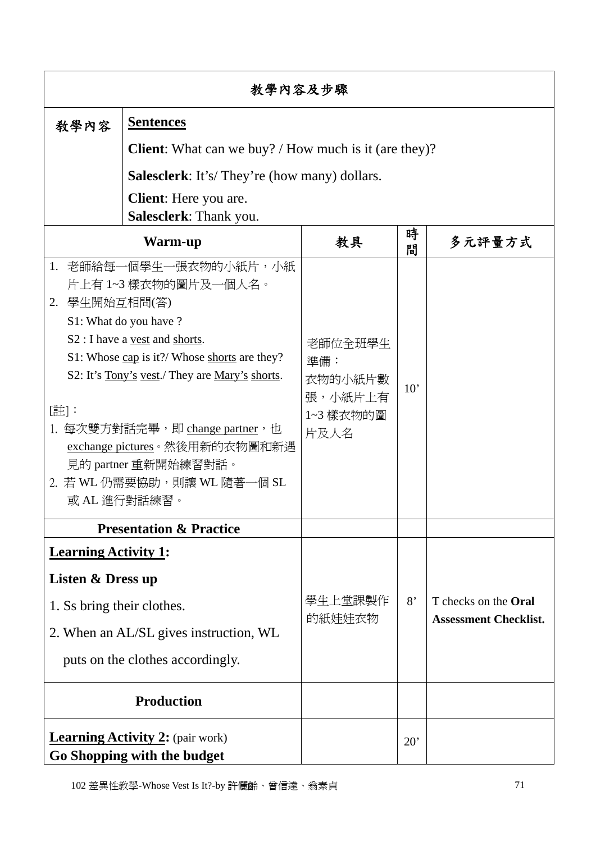| 教學內容及步驟                                                                        |                                                                                                                                                                                                                                                                                                                                                                                  |                                                           |        |                                                             |  |  |
|--------------------------------------------------------------------------------|----------------------------------------------------------------------------------------------------------------------------------------------------------------------------------------------------------------------------------------------------------------------------------------------------------------------------------------------------------------------------------|-----------------------------------------------------------|--------|-------------------------------------------------------------|--|--|
| 敎學內容                                                                           | <b>Sentences</b>                                                                                                                                                                                                                                                                                                                                                                 |                                                           |        |                                                             |  |  |
|                                                                                | <b>Client:</b> What can we buy? / How much is it (are they)?                                                                                                                                                                                                                                                                                                                     |                                                           |        |                                                             |  |  |
|                                                                                | Salesclerk: It's/They're (how many) dollars.                                                                                                                                                                                                                                                                                                                                     |                                                           |        |                                                             |  |  |
|                                                                                | <b>Client:</b> Here you are.<br>Salesclerk: Thank you.                                                                                                                                                                                                                                                                                                                           |                                                           |        |                                                             |  |  |
|                                                                                | Warm-up                                                                                                                                                                                                                                                                                                                                                                          | 教具                                                        | 時<br>間 | 多元評量方式                                                      |  |  |
| 2. 學生開始互相問(答)<br>[註]:                                                          | 1. 老師給每一個學生一張衣物的小紙片,小紙<br>片上有 1~3 樣衣物的圖片及一個人名。<br>S1: What do you have?<br>S <sub>2</sub> : I have a <u>vest</u> and shorts.<br>S1: Whose cap is it?/ Whose shorts are they?<br>S2: It's Tony's yest./ They are Mary's shorts.<br>1. 每次雙方對話完畢,即 <u>change partner</u> ,也<br>exchange pictures。然後用新的衣物圖和新遇<br>見的 partner 重新開始練習對話。<br>2. 若 WL 仍需要協助,則讓 WL 隨著一個 SL<br>或 AL 進行對話練習。 | 老師位全班學生<br>準備:<br>衣物的小紙片數<br>張,小紙片上有<br>1~3 樣衣物的圖<br>片及人名 | 10'    |                                                             |  |  |
|                                                                                | <b>Presentation &amp; Practice</b>                                                                                                                                                                                                                                                                                                                                               |                                                           |        |                                                             |  |  |
| <b>Learning Activity 1:</b><br>Listen & Dress up<br>1. Ss bring their clothes. | 2. When an AL/SL gives instruction, WL<br>puts on the clothes accordingly.                                                                                                                                                                                                                                                                                                       | 學生上堂課製作<br>的紙娃娃衣物                                         | 8'     | T checks on the <b>Oral</b><br><b>Assessment Checklist.</b> |  |  |
|                                                                                | <b>Production</b>                                                                                                                                                                                                                                                                                                                                                                |                                                           |        |                                                             |  |  |
|                                                                                | <b>Learning Activity 2:</b> (pair work)<br>Go Shopping with the budget                                                                                                                                                                                                                                                                                                           |                                                           | 20'    |                                                             |  |  |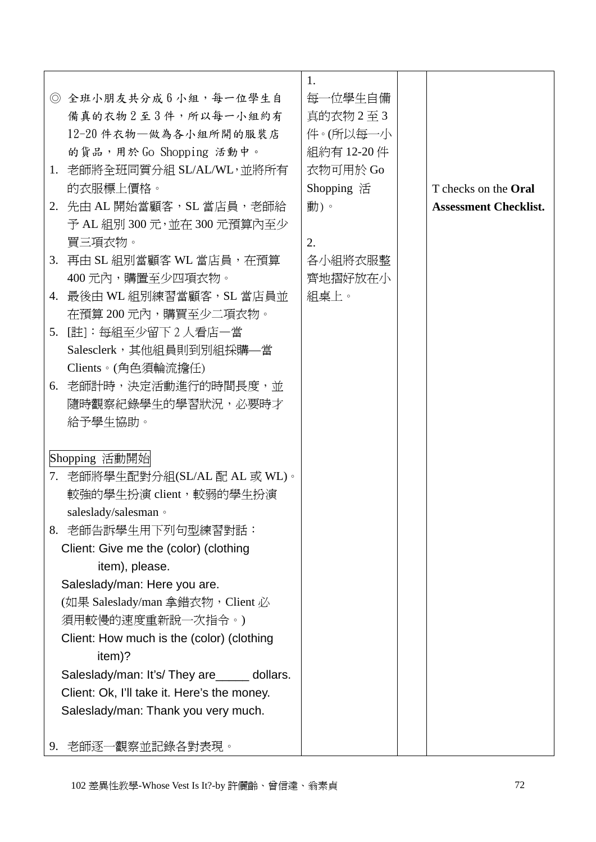|    |                                               | 1.         |                              |
|----|-----------------------------------------------|------------|------------------------------|
|    | ◎ 全班小朋友共分成6小組,每一位學生自                          | 每一位學生自備    |                              |
|    | 備真的衣物2至3件,所以每一小組約有                            | 真的衣物2至3    |                              |
|    | 12-20件衣物一做為各小組所開的服裝店                          | 件。(所以每一小   |                              |
|    | 的貨品,用於Go Shopping 活動中。                        | 組約有 12-20件 |                              |
|    | 1. 老師將全班同質分組 SL/AL/WL,並將所有                    | 衣物可用於 Go   |                              |
|    | 的衣服標上價格。                                      | Shopping 活 | T checks on the <b>Oral</b>  |
|    | 2. 先由 AL 開始當顧客, SL 當店員, 老師給                   | 動)。        | <b>Assessment Checklist.</b> |
|    | 予 AL 組別 300 元, 並在 300 元預算內至少                  |            |                              |
|    | 買三項衣物。                                        | 2.         |                              |
|    | 3. 再由 SL 組別當顧客 WL 當店員,在預算                     | 各小組將衣服整    |                              |
|    | 400 元內,購置至少四項衣物。                              | 齊地摺好放在小    |                              |
|    | 4. 最後由 WL 組別練習當顧客,SL 當店員並                     | 組桌上。       |                              |
|    | 在預算 200 元內,購買至少二項衣物。                          |            |                              |
|    | 5. [註]:每組至少留下 2 人看店一當                         |            |                              |
|    | Salesclerk, 其他組員則到別組採購—當                      |            |                              |
|    | Clients。(角色須輪流擔任)                             |            |                              |
|    | 6. 老師計時,決定活動進行的時間長度,並                         |            |                              |
|    | 隨時觀察紀錄學生的學習狀況,必要時才                            |            |                              |
|    | 給予學生協助。                                       |            |                              |
|    |                                               |            |                              |
|    | Shopping 活動開始                                 |            |                              |
|    | 7. 老師將學生配對分組(SL/AL配 AL 或 WL)。                 |            |                              |
|    | 較強的學生扮演 client,較弱的學生扮演                        |            |                              |
|    | saleslady/salesman ·                          |            |                              |
|    | 8. 老師告訴學生用下列句型練習對話:                           |            |                              |
|    | Client: Give me the (color) (clothing         |            |                              |
|    | item), please.                                |            |                              |
|    | Saleslady/man: Here you are.                  |            |                              |
|    | (如果 Saleslady/man 拿錯衣物, Client 必              |            |                              |
|    | 須用較慢的速度重新說一次指令。)                              |            |                              |
|    | Client: How much is the (color) (clothing     |            |                              |
|    | item)?                                        |            |                              |
|    | Saleslady/man: It's/ They are ______ dollars. |            |                              |
|    | Client: Ok, I'll take it. Here's the money.   |            |                              |
|    | Saleslady/man: Thank you very much.           |            |                              |
|    |                                               |            |                              |
| 9. | 老師逐一觀察並記錄各對表現。                                |            |                              |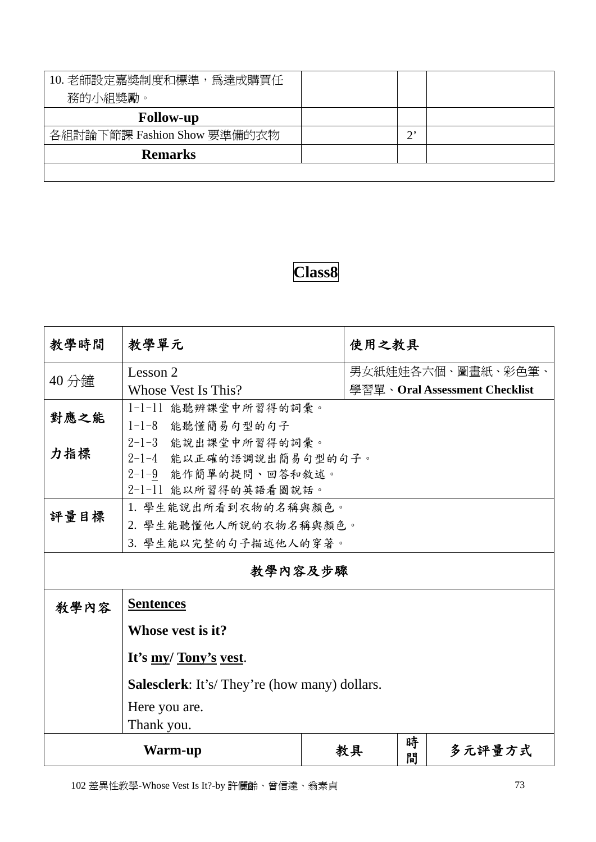| 10. 老師設定嘉獎制度和標準, 為達成購買任     |     |  |
|-----------------------------|-----|--|
| 務的小組獎勵。                     |     |  |
| <b>Follow-up</b>            |     |  |
| 各組討論下節課 Fashion Show 要準備的衣物 | ົາ, |  |
| <b>Remarks</b>              |     |  |
|                             |     |  |

| 教學時間                                                | 教學單元                    | 使用之教具 |                               |  |  |
|-----------------------------------------------------|-------------------------|-------|-------------------------------|--|--|
|                                                     | Lesson 2                |       | 男女紙娃娃各六個、圖畫紙、彩色筆、             |  |  |
| 40 分鐘                                               | Whose Vest Is This?     |       | 學習單、Oral Assessment Checklist |  |  |
|                                                     | 1-1-11 能聽辨課堂中所習得的詞彙。    |       |                               |  |  |
| 對應之能                                                | 1-1-8 能聽懂簡易句型的句子        |       |                               |  |  |
|                                                     | 2-1-3 能說出課堂中所習得的詞彙。     |       |                               |  |  |
| 力指標                                                 | 2-1-4 能以正確的語調說出簡易句型的句子。 |       |                               |  |  |
| 2-1-9 能作簡單的提問、回答和敘述。                                |                         |       |                               |  |  |
| 2-1-11 能以所習得的英語看圖說話。                                |                         |       |                               |  |  |
| 評量目標                                                | 1. 學生能說出所看到衣物的名稱與顏色。    |       |                               |  |  |
|                                                     | 2. 學生能聽懂他人所說的衣物名稱與顏色。   |       |                               |  |  |
|                                                     | 3. 學生能以完整的句子描述他人的穿著。    |       |                               |  |  |
| 教學內容及步驟                                             |                         |       |                               |  |  |
| <b>Sentences</b><br>敎學內容                            |                         |       |                               |  |  |
| Whose vest is it?                                   |                         |       |                               |  |  |
| It's my/ Tony's vest.                               |                         |       |                               |  |  |
| <b>Salesclerk:</b> It's/They're (how many) dollars. |                         |       |                               |  |  |
| Here you are.                                       |                         |       |                               |  |  |
| Thank you.                                          |                         |       |                               |  |  |
| Warm-up                                             |                         | 教具    | 時<br>多元評量方式<br>間              |  |  |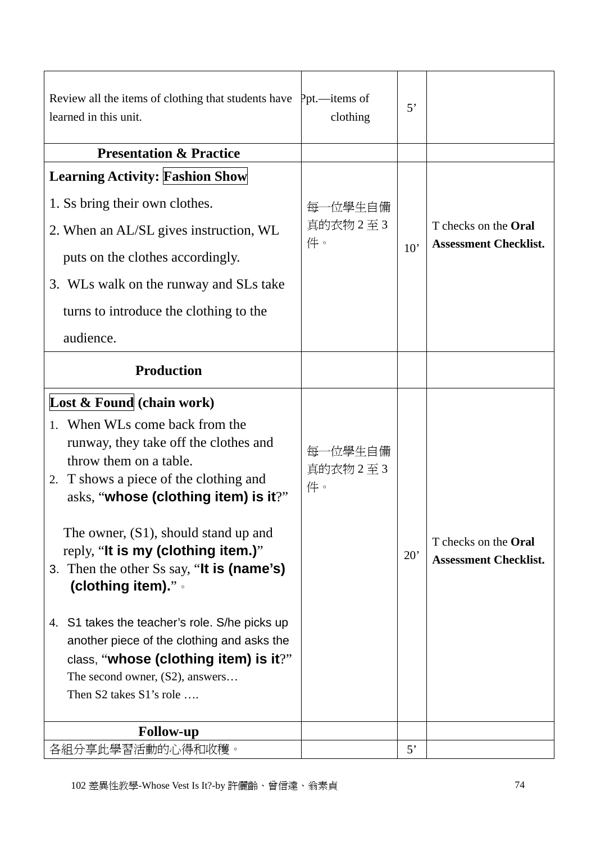| Review all the items of clothing that students have<br>learned in this unit.                                                                                                                                             | Ppt.—items of<br>clothing   | 5'          |                                                      |
|--------------------------------------------------------------------------------------------------------------------------------------------------------------------------------------------------------------------------|-----------------------------|-------------|------------------------------------------------------|
| <b>Presentation &amp; Practice</b>                                                                                                                                                                                       |                             |             |                                                      |
| <b>Learning Activity: Fashion Show</b>                                                                                                                                                                                   |                             |             |                                                      |
| 1. Ss bring their own clothes.                                                                                                                                                                                           | 每一位學生自備                     |             |                                                      |
| 2. When an AL/SL gives instruction, WL                                                                                                                                                                                   | 真的衣物 2至3                    |             | T checks on the <b>Oral</b>                          |
| puts on the clothes accordingly.                                                                                                                                                                                         | 件。                          | 10'         | <b>Assessment Checklist.</b>                         |
| 3. WLs walk on the runway and SLs take                                                                                                                                                                                   |                             |             |                                                      |
| turns to introduce the clothing to the                                                                                                                                                                                   |                             |             |                                                      |
| audience.                                                                                                                                                                                                                |                             |             |                                                      |
| <b>Production</b>                                                                                                                                                                                                        |                             |             |                                                      |
| Lost & Found (chain work)<br>When WLs come back from the<br>$1_{-}$<br>runway, they take off the clothes and<br>throw them on a table.<br>2. T shows a piece of the clothing and<br>asks, "whose (clothing item) is it?" | 每一位學生自備<br>真的衣物 2 至 3<br>件。 |             |                                                      |
| The owner, $(S1)$ , should stand up and<br>reply, "It is my (clothing item.)"<br>3. Then the other Ss say, " <b>It is (name's)</b><br>(clothing item)." .                                                                |                             | 20'         | T checks on the Oral<br><b>Assessment Checklist.</b> |
| S1 takes the teacher's role. S/he picks up<br>4.<br>another piece of the clothing and asks the<br>class, "whose (clothing item) is it?"<br>The second owner, (S2), answers<br>Then S2 takes S1's role                    |                             |             |                                                      |
| <b>Follow-up</b>                                                                                                                                                                                                         |                             |             |                                                      |
| 各組分享此學習活動的心得和收穫。                                                                                                                                                                                                         |                             | $5^{\circ}$ |                                                      |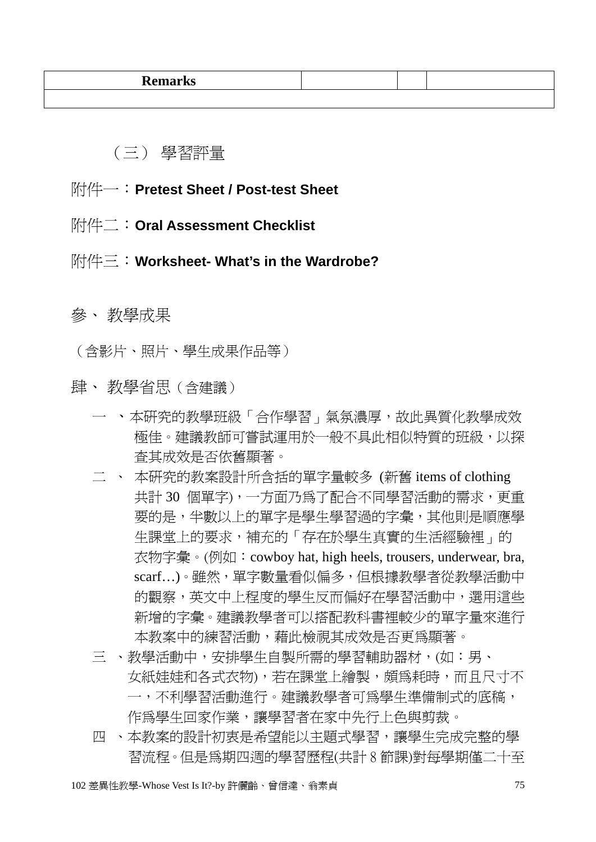| ∽.<br>---<br>-- |  |  |
|-----------------|--|--|
|                 |  |  |

(三) 學習評量

- 附件一:**Pretest Sheet / Post-test Sheet**
- 附件二:**Oral Assessment Checklist**
- 附件三:**Worksheet- What's in the Wardrobe?**
- 參、 教學成果

(含影片、照片、學生成果作品等)

肆、 教學省思(含建議)

- 一 、本研究的教學班級「合作學習」氣氛濃厚,故此異質化教學成效 極佳。建議教師可嘗試運用於一般不具此相似特質的班級,以探 查其成效是否依舊顯著。
- 二 、 本研究的教案設計所含括的單字量較多 (新舊 items of clothing 共計 30 個單字),一方面乃為了配合不同學習活動的需求,更重 要的是,半數以上的單字是學生學習過的字彙,其他則是順應學 生課堂上的要求,補充的「存在於學生真實的生活經驗裡」的 衣物字彙。(例如:cowboy hat, high heels, trousers, underwear, bra, scarf…)。雖然,單字數量看似偏多,但根據教學者從教學活動中 的觀察,英文中上程度的學生反而偏好在學習活動中,選用這些 新增的字彙。建議教學者可以搭配教科書裡較少的單字量來進行 本教案中的練習活動,藉此檢視其成效是否更為顯著。
- 三 、教學活動中,安排學生自製所需的學習輔助器材,(如:男、 女紙娃娃和各式衣物),若在課堂上繪製,頗為耗時,而且尺寸不 一,不利學習活動進行。建議教學者可為學生準備制式的底稿, 作為學生回家作業,讓學習者在家中先行上色與剪裁。
- 四 、本教案的設計初衷是希望能以主題式學習,讓學生完成完整的學 習流程。但是為期四週的學習歷程(共計 8 節課)對每學期僅二十至